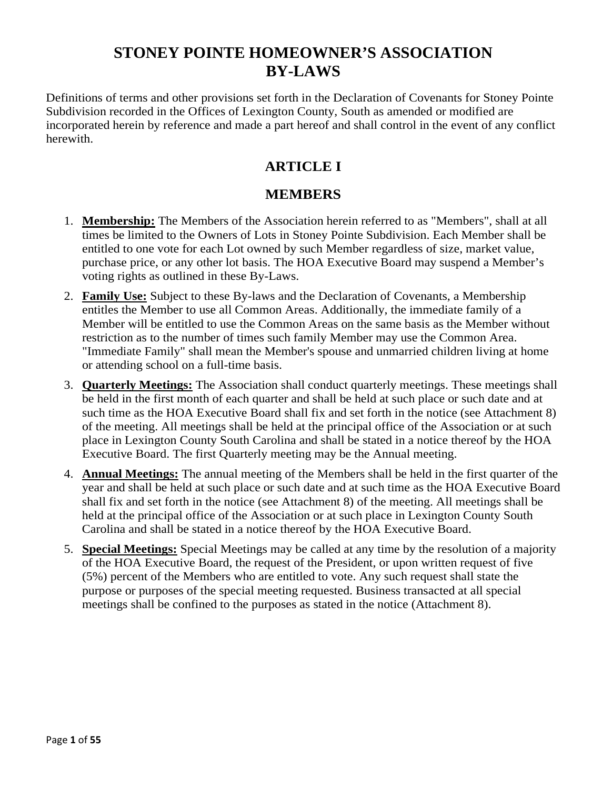Definitions of terms and other provisions set forth in the Declaration of Covenants for Stoney Pointe Subdivision recorded in the Offices of Lexington County, South as amended or modified are incorporated herein by reference and made a part hereof and shall control in the event of any conflict herewith.

### **ARTICLE I**

### **MEMBERS**

- 1. **Membership:** The Members of the Association herein referred to as "Members", shall at all times be limited to the Owners of Lots in Stoney Pointe Subdivision. Each Member shall be entitled to one vote for each Lot owned by such Member regardless of size, market value, purchase price, or any other lot basis. The HOA Executive Board may suspend a Member's voting rights as outlined in these By-Laws.
- 2. **Family Use:** Subject to these By-laws and the Declaration of Covenants, a Membership entitles the Member to use all Common Areas. Additionally, the immediate family of a Member will be entitled to use the Common Areas on the same basis as the Member without restriction as to the number of times such family Member may use the Common Area. "Immediate Family" shall mean the Member's spouse and unmarried children living at home or attending school on a full-time basis.
- 3. **Quarterly Meetings:** The Association shall conduct quarterly meetings. These meetings shall be held in the first month of each quarter and shall be held at such place or such date and at such time as the HOA Executive Board shall fix and set forth in the notice (see Attachment 8) of the meeting. All meetings shall be held at the principal office of the Association or at such place in Lexington County South Carolina and shall be stated in a notice thereof by the HOA Executive Board. The first Quarterly meeting may be the Annual meeting.
- 4. **Annual Meetings:** The annual meeting of the Members shall be held in the first quarter of the year and shall be held at such place or such date and at such time as the HOA Executive Board shall fix and set forth in the notice (see Attachment 8) of the meeting. All meetings shall be held at the principal office of the Association or at such place in Lexington County South Carolina and shall be stated in a notice thereof by the HOA Executive Board.
- 5. **Special Meetings:** Special Meetings may be called at any time by the resolution of a majority of the HOA Executive Board, the request of the President, or upon written request of five (5%) percent of the Members who are entitled to vote. Any such request shall state the purpose or purposes of the special meeting requested. Business transacted at all special meetings shall be confined to the purposes as stated in the notice (Attachment 8).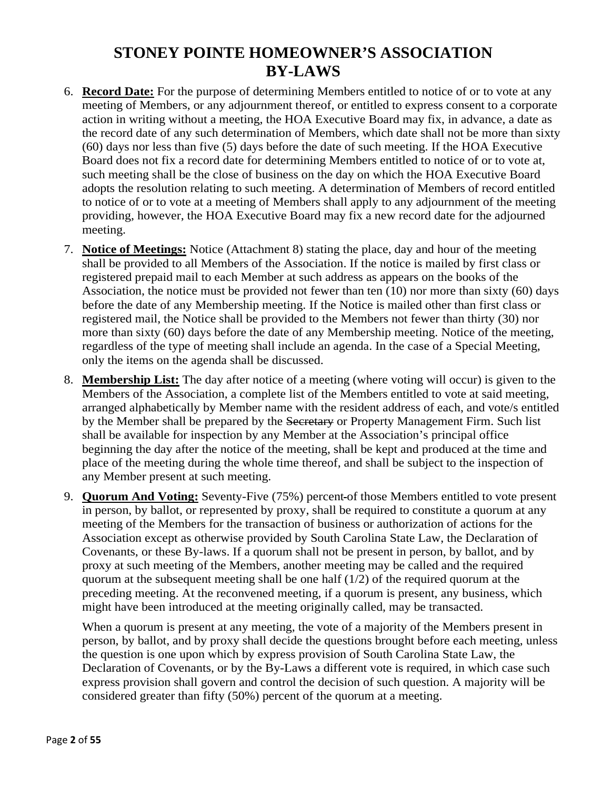- 6. **Record Date:** For the purpose of determining Members entitled to notice of or to vote at any meeting of Members, or any adjournment thereof, or entitled to express consent to a corporate action in writing without a meeting, the HOA Executive Board may fix, in advance, a date as the record date of any such determination of Members, which date shall not be more than sixty (60) days nor less than five (5) days before the date of such meeting. If the HOA Executive Board does not fix a record date for determining Members entitled to notice of or to vote at, such meeting shall be the close of business on the day on which the HOA Executive Board adopts the resolution relating to such meeting. A determination of Members of record entitled to notice of or to vote at a meeting of Members shall apply to any adjournment of the meeting providing, however, the HOA Executive Board may fix a new record date for the adjourned meeting.
- 7. **Notice of Meetings:** Notice (Attachment 8) stating the place, day and hour of the meeting shall be provided to all Members of the Association. If the notice is mailed by first class or registered prepaid mail to each Member at such address as appears on the books of the Association, the notice must be provided not fewer than ten (10) nor more than sixty (60) days before the date of any Membership meeting. If the Notice is mailed other than first class or registered mail, the Notice shall be provided to the Members not fewer than thirty (30) nor more than sixty (60) days before the date of any Membership meeting. Notice of the meeting, regardless of the type of meeting shall include an agenda. In the case of a Special Meeting, only the items on the agenda shall be discussed.
- 8. **Membership List:** The day after notice of a meeting (where voting will occur) is given to the Members of the Association, a complete list of the Members entitled to vote at said meeting, arranged alphabetically by Member name with the resident address of each, and vote/s entitled by the Member shall be prepared by the Secretary or Property Management Firm. Such list shall be available for inspection by any Member at the Association's principal office beginning the day after the notice of the meeting, shall be kept and produced at the time and place of the meeting during the whole time thereof, and shall be subject to the inspection of any Member present at such meeting.
- 9. **Quorum And Voting:** Seventy-Five (75%) percent of those Members entitled to vote present in person, by ballot, or represented by proxy, shall be required to constitute a quorum at any meeting of the Members for the transaction of business or authorization of actions for the Association except as otherwise provided by South Carolina State Law, the Declaration of Covenants, or these By-laws. If a quorum shall not be present in person, by ballot, and by proxy at such meeting of the Members, another meeting may be called and the required quorum at the subsequent meeting shall be one half (1/2) of the required quorum at the preceding meeting. At the reconvened meeting, if a quorum is present, any business, which might have been introduced at the meeting originally called, may be transacted.

When a quorum is present at any meeting, the vote of a majority of the Members present in person, by ballot, and by proxy shall decide the questions brought before each meeting, unless the question is one upon which by express provision of South Carolina State Law, the Declaration of Covenants, or by the By-Laws a different vote is required, in which case such express provision shall govern and control the decision of such question. A majority will be considered greater than fifty (50%) percent of the quorum at a meeting.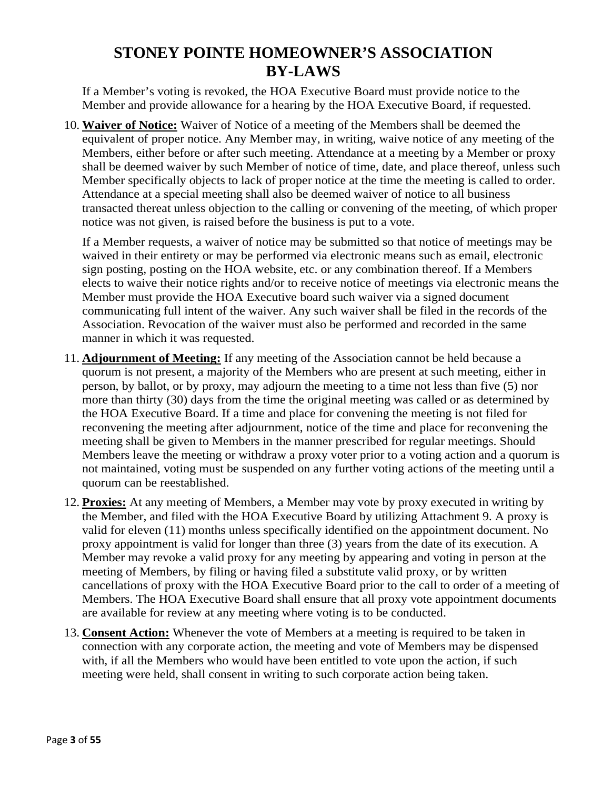If a Member's voting is revoked, the HOA Executive Board must provide notice to the Member and provide allowance for a hearing by the HOA Executive Board, if requested.

10. **Waiver of Notice:** Waiver of Notice of a meeting of the Members shall be deemed the equivalent of proper notice. Any Member may, in writing, waive notice of any meeting of the Members, either before or after such meeting. Attendance at a meeting by a Member or proxy shall be deemed waiver by such Member of notice of time, date, and place thereof, unless such Member specifically objects to lack of proper notice at the time the meeting is called to order. Attendance at a special meeting shall also be deemed waiver of notice to all business transacted thereat unless objection to the calling or convening of the meeting, of which proper notice was not given, is raised before the business is put to a vote.

If a Member requests, a waiver of notice may be submitted so that notice of meetings may be waived in their entirety or may be performed via electronic means such as email, electronic sign posting, posting on the HOA website, etc. or any combination thereof. If a Members elects to waive their notice rights and/or to receive notice of meetings via electronic means the Member must provide the HOA Executive board such waiver via a signed document communicating full intent of the waiver. Any such waiver shall be filed in the records of the Association. Revocation of the waiver must also be performed and recorded in the same manner in which it was requested.

- 11. **Adjournment of Meeting:** If any meeting of the Association cannot be held because a quorum is not present, a majority of the Members who are present at such meeting, either in person, by ballot, or by proxy, may adjourn the meeting to a time not less than five (5) nor more than thirty (30) days from the time the original meeting was called or as determined by the HOA Executive Board. If a time and place for convening the meeting is not filed for reconvening the meeting after adjournment, notice of the time and place for reconvening the meeting shall be given to Members in the manner prescribed for regular meetings. Should Members leave the meeting or withdraw a proxy voter prior to a voting action and a quorum is not maintained, voting must be suspended on any further voting actions of the meeting until a quorum can be reestablished.
- 12. **Proxies:** At any meeting of Members, a Member may vote by proxy executed in writing by the Member, and filed with the HOA Executive Board by utilizing Attachment 9. A proxy is valid for eleven (11) months unless specifically identified on the appointment document. No proxy appointment is valid for longer than three (3) years from the date of its execution. A Member may revoke a valid proxy for any meeting by appearing and voting in person at the meeting of Members, by filing or having filed a substitute valid proxy, or by written cancellations of proxy with the HOA Executive Board prior to the call to order of a meeting of Members. The HOA Executive Board shall ensure that all proxy vote appointment documents are available for review at any meeting where voting is to be conducted.
- 13. **Consent Action:** Whenever the vote of Members at a meeting is required to be taken in connection with any corporate action, the meeting and vote of Members may be dispensed with, if all the Members who would have been entitled to vote upon the action, if such meeting were held, shall consent in writing to such corporate action being taken.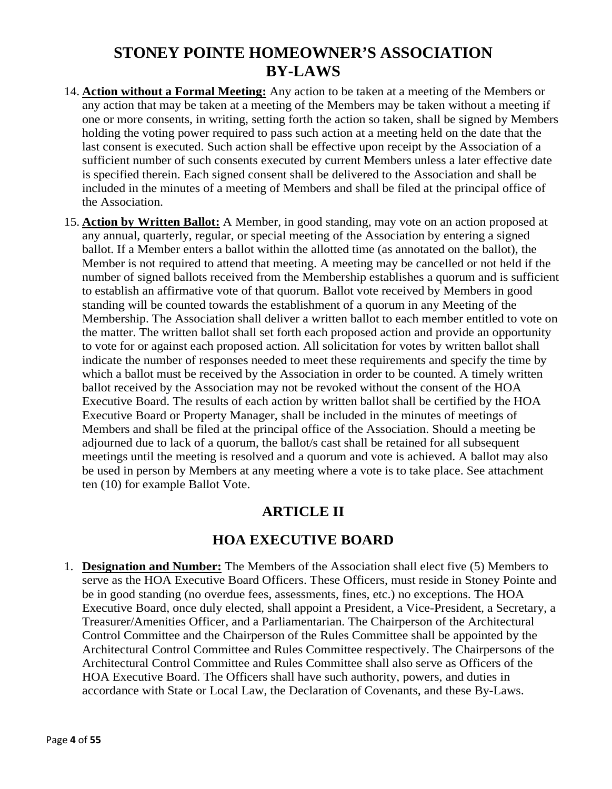- 14. **Action without a Formal Meeting:** Any action to be taken at a meeting of the Members or any action that may be taken at a meeting of the Members may be taken without a meeting if one or more consents, in writing, setting forth the action so taken, shall be signed by Members holding the voting power required to pass such action at a meeting held on the date that the last consent is executed. Such action shall be effective upon receipt by the Association of a sufficient number of such consents executed by current Members unless a later effective date is specified therein. Each signed consent shall be delivered to the Association and shall be included in the minutes of a meeting of Members and shall be filed at the principal office of the Association.
- 15. **Action by Written Ballot:** A Member, in good standing, may vote on an action proposed at any annual, quarterly, regular, or special meeting of the Association by entering a signed ballot. If a Member enters a ballot within the allotted time (as annotated on the ballot), the Member is not required to attend that meeting. A meeting may be cancelled or not held if the number of signed ballots received from the Membership establishes a quorum and is sufficient to establish an affirmative vote of that quorum. Ballot vote received by Members in good standing will be counted towards the establishment of a quorum in any Meeting of the Membership. The Association shall deliver a written ballot to each member entitled to vote on the matter. The written ballot shall set forth each proposed action and provide an opportunity to vote for or against each proposed action. All solicitation for votes by written ballot shall indicate the number of responses needed to meet these requirements and specify the time by which a ballot must be received by the Association in order to be counted. A timely written ballot received by the Association may not be revoked without the consent of the HOA Executive Board. The results of each action by written ballot shall be certified by the HOA Executive Board or Property Manager, shall be included in the minutes of meetings of Members and shall be filed at the principal office of the Association. Should a meeting be adjourned due to lack of a quorum, the ballot/s cast shall be retained for all subsequent meetings until the meeting is resolved and a quorum and vote is achieved. A ballot may also be used in person by Members at any meeting where a vote is to take place. See attachment ten (10) for example Ballot Vote.

### **ARTICLE II**

### **HOA EXECUTIVE BOARD**

1. **Designation and Number:** The Members of the Association shall elect five (5) Members to serve as the HOA Executive Board Officers. These Officers, must reside in Stoney Pointe and be in good standing (no overdue fees, assessments, fines, etc.) no exceptions. The HOA Executive Board, once duly elected, shall appoint a President, a Vice-President, a Secretary, a Treasurer/Amenities Officer, and a Parliamentarian. The Chairperson of the Architectural Control Committee and the Chairperson of the Rules Committee shall be appointed by the Architectural Control Committee and Rules Committee respectively. The Chairpersons of the Architectural Control Committee and Rules Committee shall also serve as Officers of the HOA Executive Board. The Officers shall have such authority, powers, and duties in accordance with State or Local Law, the Declaration of Covenants, and these By-Laws.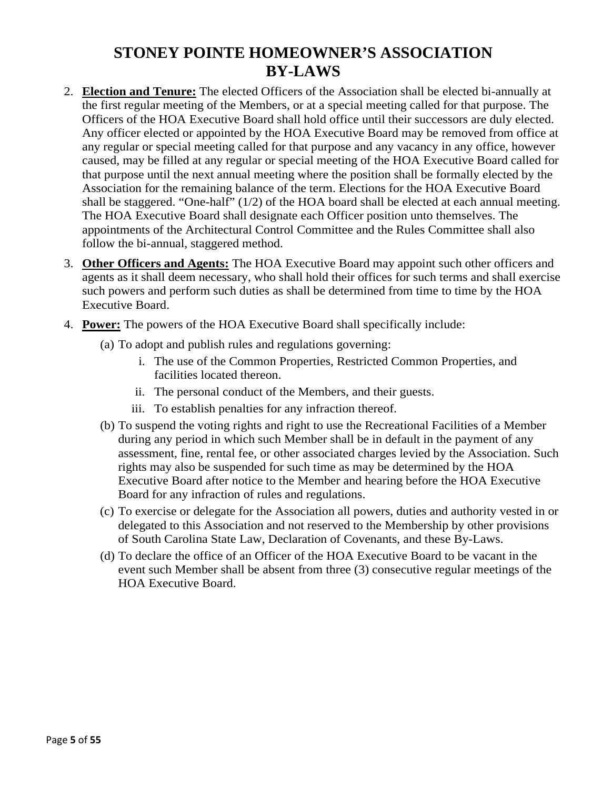- 2. **Election and Tenure:** The elected Officers of the Association shall be elected bi-annually at the first regular meeting of the Members, or at a special meeting called for that purpose. The Officers of the HOA Executive Board shall hold office until their successors are duly elected. Any officer elected or appointed by the HOA Executive Board may be removed from office at any regular or special meeting called for that purpose and any vacancy in any office, however caused, may be filled at any regular or special meeting of the HOA Executive Board called for that purpose until the next annual meeting where the position shall be formally elected by the Association for the remaining balance of the term. Elections for the HOA Executive Board shall be staggered. "One-half" (1/2) of the HOA board shall be elected at each annual meeting. The HOA Executive Board shall designate each Officer position unto themselves. The appointments of the Architectural Control Committee and the Rules Committee shall also follow the bi-annual, staggered method.
- 3. **Other Officers and Agents:** The HOA Executive Board may appoint such other officers and agents as it shall deem necessary, who shall hold their offices for such terms and shall exercise such powers and perform such duties as shall be determined from time to time by the HOA Executive Board.
- 4. **Power:** The powers of the HOA Executive Board shall specifically include:
	- (a) To adopt and publish rules and regulations governing:
		- i. The use of the Common Properties, Restricted Common Properties, and facilities located thereon.
		- ii. The personal conduct of the Members, and their guests.
		- iii. To establish penalties for any infraction thereof.
	- (b) To suspend the voting rights and right to use the Recreational Facilities of a Member during any period in which such Member shall be in default in the payment of any assessment, fine, rental fee, or other associated charges levied by the Association. Such rights may also be suspended for such time as may be determined by the HOA Executive Board after notice to the Member and hearing before the HOA Executive Board for any infraction of rules and regulations.
	- (c) To exercise or delegate for the Association all powers, duties and authority vested in or delegated to this Association and not reserved to the Membership by other provisions of South Carolina State Law, Declaration of Covenants, and these By-Laws.
	- (d) To declare the office of an Officer of the HOA Executive Board to be vacant in the event such Member shall be absent from three (3) consecutive regular meetings of the HOA Executive Board.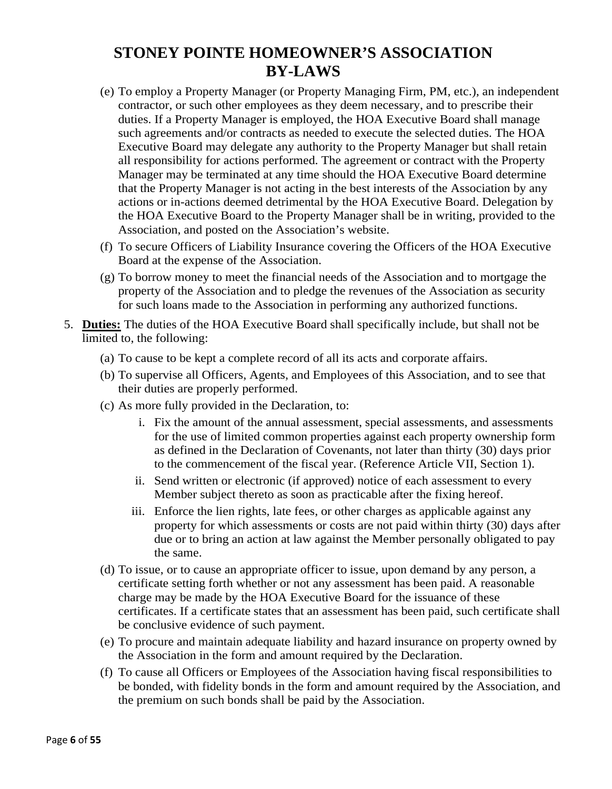- (e) To employ a Property Manager (or Property Managing Firm, PM, etc.), an independent contractor, or such other employees as they deem necessary, and to prescribe their duties. If a Property Manager is employed, the HOA Executive Board shall manage such agreements and/or contracts as needed to execute the selected duties. The HOA Executive Board may delegate any authority to the Property Manager but shall retain all responsibility for actions performed. The agreement or contract with the Property Manager may be terminated at any time should the HOA Executive Board determine that the Property Manager is not acting in the best interests of the Association by any actions or in-actions deemed detrimental by the HOA Executive Board. Delegation by the HOA Executive Board to the Property Manager shall be in writing, provided to the Association, and posted on the Association's website.
- (f) To secure Officers of Liability Insurance covering the Officers of the HOA Executive Board at the expense of the Association.
- (g) To borrow money to meet the financial needs of the Association and to mortgage the property of the Association and to pledge the revenues of the Association as security for such loans made to the Association in performing any authorized functions.
- 5. **Duties:** The duties of the HOA Executive Board shall specifically include, but shall not be limited to, the following:
	- (a) To cause to be kept a complete record of all its acts and corporate affairs.
	- (b) To supervise all Officers, Agents, and Employees of this Association, and to see that their duties are properly performed.
	- (c) As more fully provided in the Declaration, to:
		- i. Fix the amount of the annual assessment, special assessments, and assessments for the use of limited common properties against each property ownership form as defined in the Declaration of Covenants, not later than thirty (30) days prior to the commencement of the fiscal year. (Reference Article VII, Section 1).
		- ii. Send written or electronic (if approved) notice of each assessment to every Member subject thereto as soon as practicable after the fixing hereof.
		- iii. Enforce the lien rights, late fees, or other charges as applicable against any property for which assessments or costs are not paid within thirty (30) days after due or to bring an action at law against the Member personally obligated to pay the same.
	- (d) To issue, or to cause an appropriate officer to issue, upon demand by any person, a certificate setting forth whether or not any assessment has been paid. A reasonable charge may be made by the HOA Executive Board for the issuance of these certificates. If a certificate states that an assessment has been paid, such certificate shall be conclusive evidence of such payment.
	- (e) To procure and maintain adequate liability and hazard insurance on property owned by the Association in the form and amount required by the Declaration.
	- (f) To cause all Officers or Employees of the Association having fiscal responsibilities to be bonded, with fidelity bonds in the form and amount required by the Association, and the premium on such bonds shall be paid by the Association.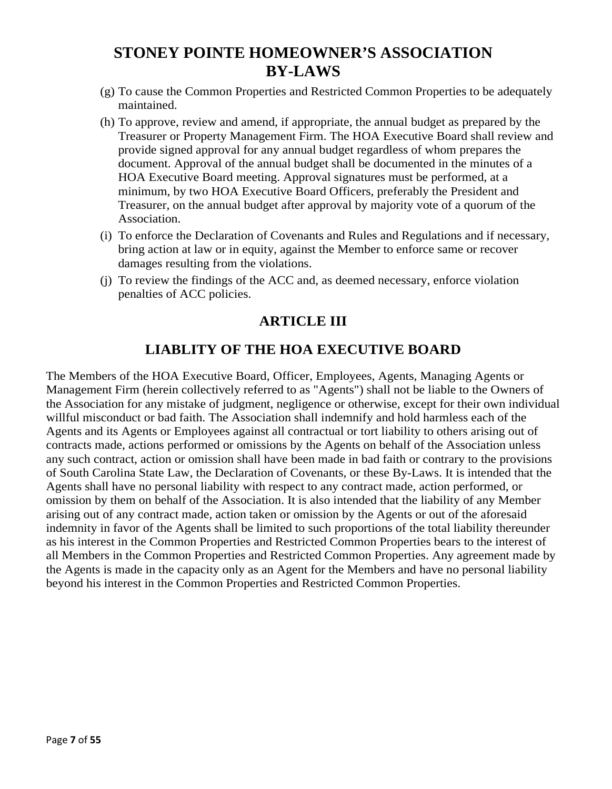- (g) To cause the Common Properties and Restricted Common Properties to be adequately maintained.
- (h) To approve, review and amend, if appropriate, the annual budget as prepared by the Treasurer or Property Management Firm. The HOA Executive Board shall review and provide signed approval for any annual budget regardless of whom prepares the document. Approval of the annual budget shall be documented in the minutes of a HOA Executive Board meeting. Approval signatures must be performed, at a minimum, by two HOA Executive Board Officers, preferably the President and Treasurer, on the annual budget after approval by majority vote of a quorum of the Association.
- (i) To enforce the Declaration of Covenants and Rules and Regulations and if necessary, bring action at law or in equity, against the Member to enforce same or recover damages resulting from the violations.
- (j) To review the findings of the ACC and, as deemed necessary, enforce violation penalties of ACC policies.

### **ARTICLE III**

### **LIABLITY OF THE HOA EXECUTIVE BOARD**

The Members of the HOA Executive Board, Officer, Employees, Agents, Managing Agents or Management Firm (herein collectively referred to as "Agents") shall not be liable to the Owners of the Association for any mistake of judgment, negligence or otherwise, except for their own individual willful misconduct or bad faith. The Association shall indemnify and hold harmless each of the Agents and its Agents or Employees against all contractual or tort liability to others arising out of contracts made, actions performed or omissions by the Agents on behalf of the Association unless any such contract, action or omission shall have been made in bad faith or contrary to the provisions of South Carolina State Law, the Declaration of Covenants, or these By-Laws. It is intended that the Agents shall have no personal liability with respect to any contract made, action performed, or omission by them on behalf of the Association. It is also intended that the liability of any Member arising out of any contract made, action taken or omission by the Agents or out of the aforesaid indemnity in favor of the Agents shall be limited to such proportions of the total liability thereunder as his interest in the Common Properties and Restricted Common Properties bears to the interest of all Members in the Common Properties and Restricted Common Properties. Any agreement made by the Agents is made in the capacity only as an Agent for the Members and have no personal liability beyond his interest in the Common Properties and Restricted Common Properties.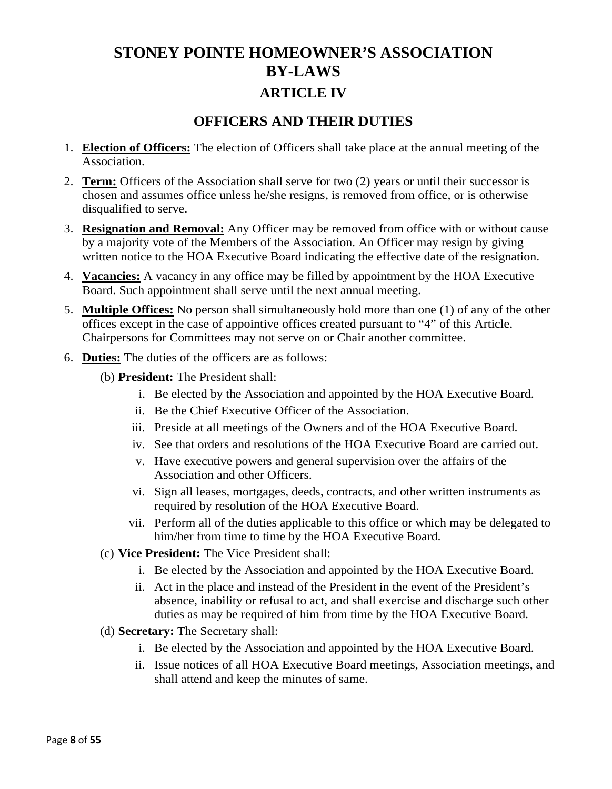# **STONEY POINTE HOMEOWNER'S ASSOCIATION BY-LAWS ARTICLE IV**

### **OFFICERS AND THEIR DUTIES**

- 1. **Election of Officers:** The election of Officers shall take place at the annual meeting of the Association.
- 2. **Term:** Officers of the Association shall serve for two (2) years or until their successor is chosen and assumes office unless he/she resigns, is removed from office, or is otherwise disqualified to serve.
- 3. **Resignation and Removal:** Any Officer may be removed from office with or without cause by a majority vote of the Members of the Association. An Officer may resign by giving written notice to the HOA Executive Board indicating the effective date of the resignation.
- 4. **Vacancies:** A vacancy in any office may be filled by appointment by the HOA Executive Board. Such appointment shall serve until the next annual meeting.
- 5. **Multiple Offices:** No person shall simultaneously hold more than one (1) of any of the other offices except in the case of appointive offices created pursuant to "4" of this Article. Chairpersons for Committees may not serve on or Chair another committee.
- 6. **Duties:** The duties of the officers are as follows:
	- (b) **President:** The President shall:
		- i. Be elected by the Association and appointed by the HOA Executive Board.
		- ii. Be the Chief Executive Officer of the Association.
		- iii. Preside at all meetings of the Owners and of the HOA Executive Board.
		- iv. See that orders and resolutions of the HOA Executive Board are carried out.
		- v. Have executive powers and general supervision over the affairs of the Association and other Officers.
		- vi. Sign all leases, mortgages, deeds, contracts, and other written instruments as required by resolution of the HOA Executive Board.
		- vii. Perform all of the duties applicable to this office or which may be delegated to him/her from time to time by the HOA Executive Board.
	- (c) **Vice President:** The Vice President shall:
		- i. Be elected by the Association and appointed by the HOA Executive Board.
		- ii. Act in the place and instead of the President in the event of the President's absence, inability or refusal to act, and shall exercise and discharge such other duties as may be required of him from time by the HOA Executive Board.
	- (d) **Secretary:** The Secretary shall:
		- i. Be elected by the Association and appointed by the HOA Executive Board.
		- ii. Issue notices of all HOA Executive Board meetings, Association meetings, and shall attend and keep the minutes of same.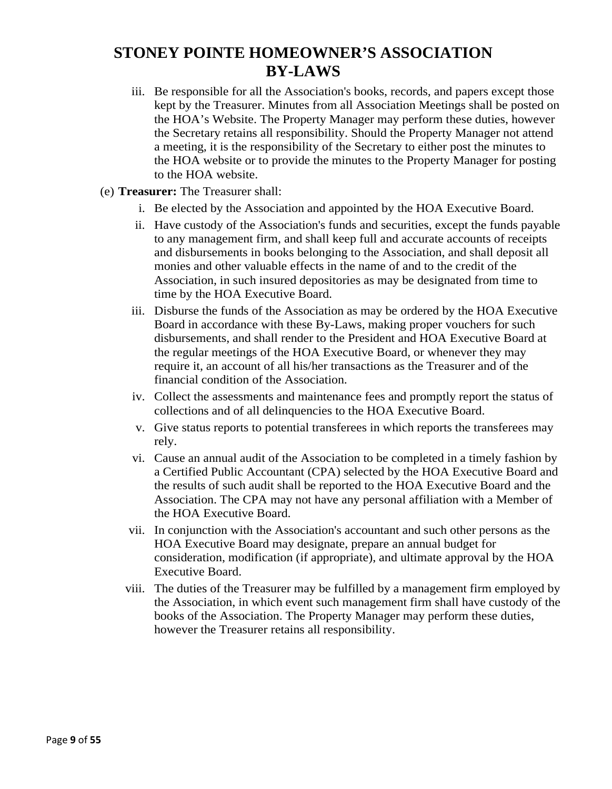- iii. Be responsible for all the Association's books, records, and papers except those kept by the Treasurer. Minutes from all Association Meetings shall be posted on the HOA's Website. The Property Manager may perform these duties, however the Secretary retains all responsibility. Should the Property Manager not attend a meeting, it is the responsibility of the Secretary to either post the minutes to the HOA website or to provide the minutes to the Property Manager for posting to the HOA website.
- (e) **Treasurer:** The Treasurer shall:
	- i. Be elected by the Association and appointed by the HOA Executive Board.
	- ii. Have custody of the Association's funds and securities, except the funds payable to any management firm, and shall keep full and accurate accounts of receipts and disbursements in books belonging to the Association, and shall deposit all monies and other valuable effects in the name of and to the credit of the Association, in such insured depositories as may be designated from time to time by the HOA Executive Board.
	- iii. Disburse the funds of the Association as may be ordered by the HOA Executive Board in accordance with these By-Laws, making proper vouchers for such disbursements, and shall render to the President and HOA Executive Board at the regular meetings of the HOA Executive Board, or whenever they may require it, an account of all his/her transactions as the Treasurer and of the financial condition of the Association.
	- iv. Collect the assessments and maintenance fees and promptly report the status of collections and of all delinquencies to the HOA Executive Board.
	- v. Give status reports to potential transferees in which reports the transferees may rely.
	- vi. Cause an annual audit of the Association to be completed in a timely fashion by a Certified Public Accountant (CPA) selected by the HOA Executive Board and the results of such audit shall be reported to the HOA Executive Board and the Association. The CPA may not have any personal affiliation with a Member of the HOA Executive Board.
	- vii. In conjunction with the Association's accountant and such other persons as the HOA Executive Board may designate, prepare an annual budget for consideration, modification (if appropriate), and ultimate approval by the HOA Executive Board.
	- viii. The duties of the Treasurer may be fulfilled by a management firm employed by the Association, in which event such management firm shall have custody of the books of the Association. The Property Manager may perform these duties, however the Treasurer retains all responsibility.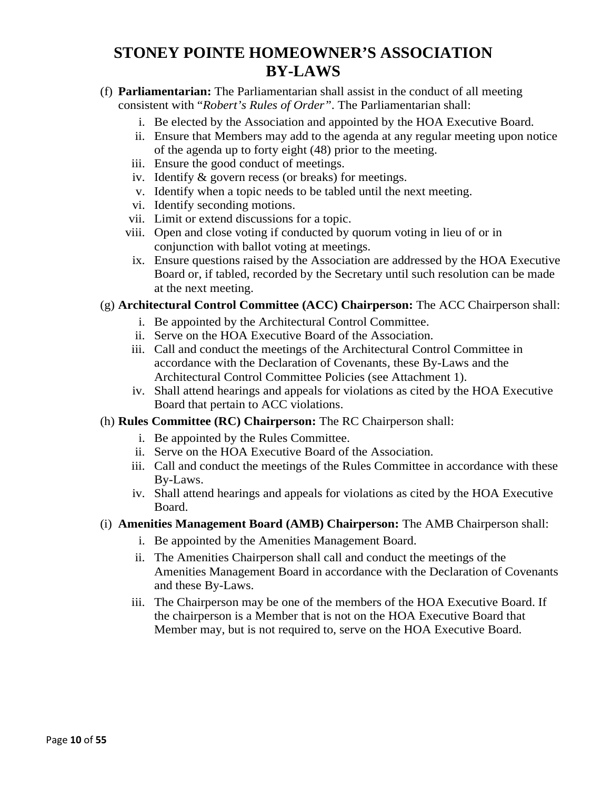- (f) **Parliamentarian:** The Parliamentarian shall assist in the conduct of all meeting consistent with "*Robert's Rules of Order"*. The Parliamentarian shall:
	- i. Be elected by the Association and appointed by the HOA Executive Board.
	- ii. Ensure that Members may add to the agenda at any regular meeting upon notice of the agenda up to forty eight (48) prior to the meeting.
	- iii. Ensure the good conduct of meetings.
	- iv. Identify & govern recess (or breaks) for meetings.
	- v. Identify when a topic needs to be tabled until the next meeting.
	- vi. Identify seconding motions.
	- vii. Limit or extend discussions for a topic.
	- viii. Open and close voting if conducted by quorum voting in lieu of or in conjunction with ballot voting at meetings.
	- ix. Ensure questions raised by the Association are addressed by the HOA Executive Board or, if tabled, recorded by the Secretary until such resolution can be made at the next meeting.

#### (g) **Architectural Control Committee (ACC) Chairperson:** The ACC Chairperson shall:

- i. Be appointed by the Architectural Control Committee.
- ii. Serve on the HOA Executive Board of the Association.
- iii. Call and conduct the meetings of the Architectural Control Committee in accordance with the Declaration of Covenants, these By-Laws and the Architectural Control Committee Policies (see Attachment 1).
- iv. Shall attend hearings and appeals for violations as cited by the HOA Executive Board that pertain to ACC violations.

#### (h) **Rules Committee (RC) Chairperson:** The RC Chairperson shall:

- i. Be appointed by the Rules Committee.
- ii. Serve on the HOA Executive Board of the Association.
- iii. Call and conduct the meetings of the Rules Committee in accordance with these By-Laws.
- iv. Shall attend hearings and appeals for violations as cited by the HOA Executive Board.
- (i) **Amenities Management Board (AMB) Chairperson:** The AMB Chairperson shall:
	- i. Be appointed by the Amenities Management Board.
	- ii. The Amenities Chairperson shall call and conduct the meetings of the Amenities Management Board in accordance with the Declaration of Covenants and these By-Laws.
	- iii. The Chairperson may be one of the members of the HOA Executive Board. If the chairperson is a Member that is not on the HOA Executive Board that Member may, but is not required to, serve on the HOA Executive Board.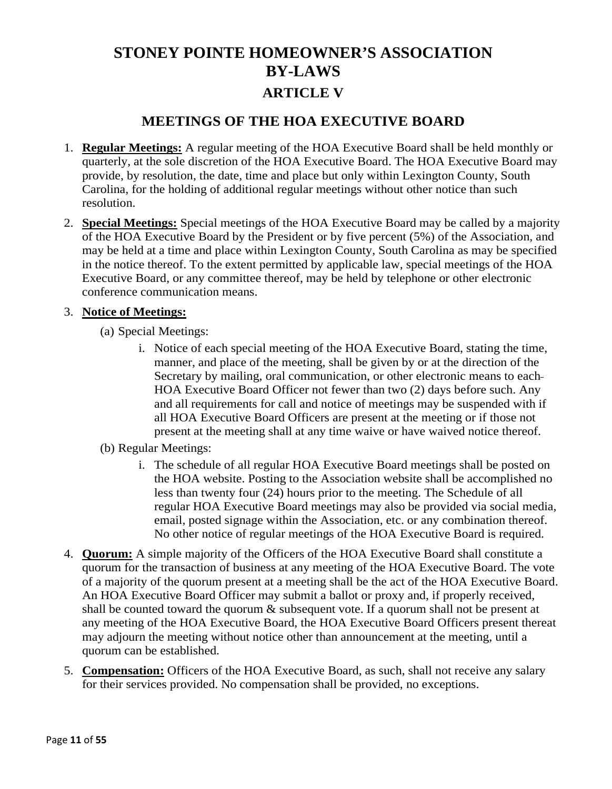### **MEETINGS OF THE HOA EXECUTIVE BOARD**

- 1. **Regular Meetings:** A regular meeting of the HOA Executive Board shall be held monthly or quarterly, at the sole discretion of the HOA Executive Board. The HOA Executive Board may provide, by resolution, the date, time and place but only within Lexington County, South Carolina, for the holding of additional regular meetings without other notice than such resolution.
- 2. **Special Meetings:** Special meetings of the HOA Executive Board may be called by a majority of the HOA Executive Board by the President or by five percent (5%) of the Association, and may be held at a time and place within Lexington County, South Carolina as may be specified in the notice thereof. To the extent permitted by applicable law, special meetings of the HOA Executive Board, or any committee thereof, may be held by telephone or other electronic conference communication means.

#### 3. **Notice of Meetings:**

- (a) Special Meetings:
	- i. Notice of each special meeting of the HOA Executive Board, stating the time, manner, and place of the meeting, shall be given by or at the direction of the Secretary by mailing, oral communication, or other electronic means to each HOA Executive Board Officer not fewer than two (2) days before such. Any and all requirements for call and notice of meetings may be suspended with if all HOA Executive Board Officers are present at the meeting or if those not present at the meeting shall at any time waive or have waived notice thereof.
- (b) Regular Meetings:
	- i. The schedule of all regular HOA Executive Board meetings shall be posted on the HOA website. Posting to the Association website shall be accomplished no less than twenty four (24) hours prior to the meeting. The Schedule of all regular HOA Executive Board meetings may also be provided via social media, email, posted signage within the Association, etc. or any combination thereof. No other notice of regular meetings of the HOA Executive Board is required.
- 4. **Quorum:** A simple majority of the Officers of the HOA Executive Board shall constitute a quorum for the transaction of business at any meeting of the HOA Executive Board. The vote of a majority of the quorum present at a meeting shall be the act of the HOA Executive Board. An HOA Executive Board Officer may submit a ballot or proxy and, if properly received, shall be counted toward the quorum & subsequent vote. If a quorum shall not be present at any meeting of the HOA Executive Board, the HOA Executive Board Officers present thereat may adjourn the meeting without notice other than announcement at the meeting, until a quorum can be established.
- 5. **Compensation:** Officers of the HOA Executive Board, as such, shall not receive any salary for their services provided. No compensation shall be provided, no exceptions.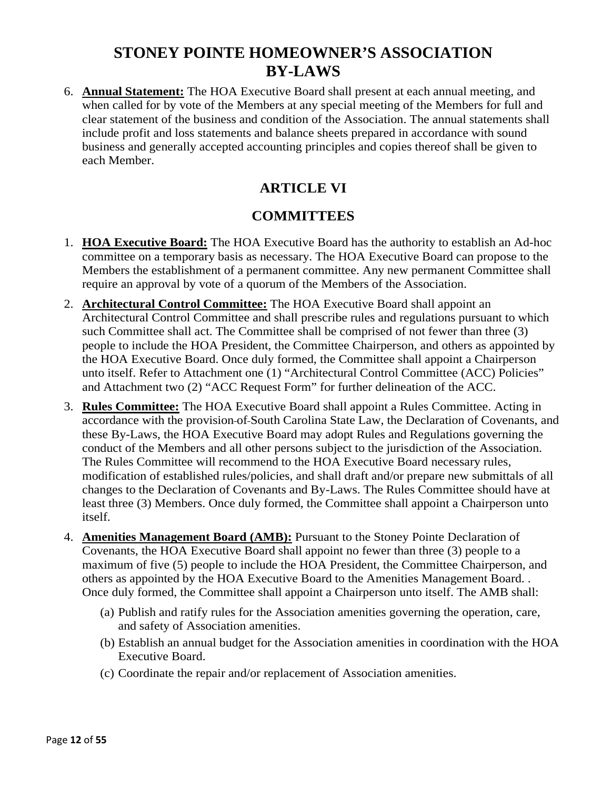6. **Annual Statement:** The HOA Executive Board shall present at each annual meeting, and when called for by vote of the Members at any special meeting of the Members for full and clear statement of the business and condition of the Association. The annual statements shall include profit and loss statements and balance sheets prepared in accordance with sound business and generally accepted accounting principles and copies thereof shall be given to each Member.

### **ARTICLE VI**

### **COMMITTEES**

- 1. **HOA Executive Board:** The HOA Executive Board has the authority to establish an Ad-hoc committee on a temporary basis as necessary. The HOA Executive Board can propose to the Members the establishment of a permanent committee. Any new permanent Committee shall require an approval by vote of a quorum of the Members of the Association.
- 2. **Architectural Control Committee:** The HOA Executive Board shall appoint an Architectural Control Committee and shall prescribe rules and regulations pursuant to which such Committee shall act. The Committee shall be comprised of not fewer than three (3) people to include the HOA President, the Committee Chairperson, and others as appointed by the HOA Executive Board. Once duly formed, the Committee shall appoint a Chairperson unto itself. Refer to Attachment one (1) "Architectural Control Committee (ACC) Policies" and Attachment two (2) "ACC Request Form" for further delineation of the ACC.
- 3. **Rules Committee:** The HOA Executive Board shall appoint a Rules Committee. Acting in accordance with the provision of South Carolina State Law, the Declaration of Covenants, and these By-Laws, the HOA Executive Board may adopt Rules and Regulations governing the conduct of the Members and all other persons subject to the jurisdiction of the Association. The Rules Committee will recommend to the HOA Executive Board necessary rules, modification of established rules/policies, and shall draft and/or prepare new submittals of all changes to the Declaration of Covenants and By-Laws. The Rules Committee should have at least three (3) Members. Once duly formed, the Committee shall appoint a Chairperson unto itself.
- 4. **Amenities Management Board (AMB):** Pursuant to the Stoney Pointe Declaration of Covenants, the HOA Executive Board shall appoint no fewer than three (3) people to a maximum of five (5) people to include the HOA President, the Committee Chairperson, and others as appointed by the HOA Executive Board to the Amenities Management Board. . Once duly formed, the Committee shall appoint a Chairperson unto itself. The AMB shall:
	- (a) Publish and ratify rules for the Association amenities governing the operation, care, and safety of Association amenities.
	- (b) Establish an annual budget for the Association amenities in coordination with the HOA Executive Board.
	- (c) Coordinate the repair and/or replacement of Association amenities.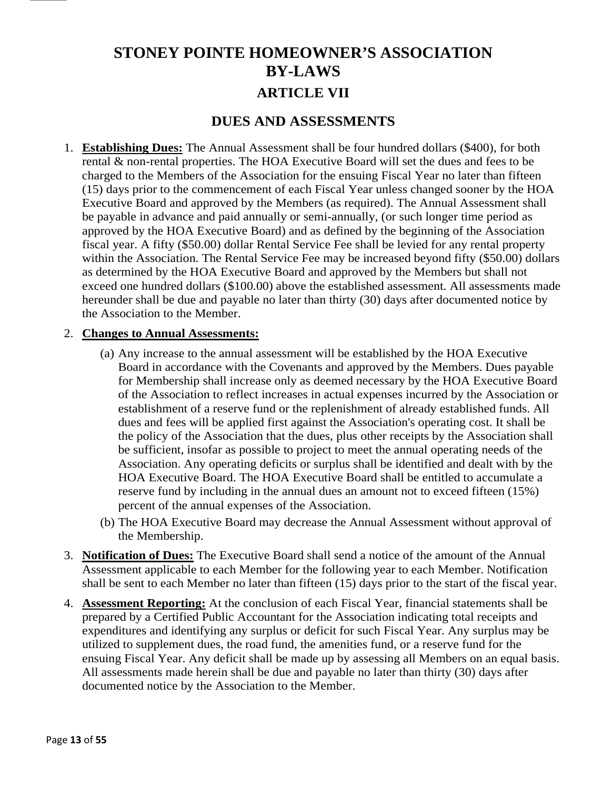# **STONEY POINTE HOMEOWNER'S ASSOCIATION BY-LAWS ARTICLE VII**

### **DUES AND ASSESSMENTS**

1. **Establishing Dues:** The Annual Assessment shall be four hundred dollars (\$400), for both rental & non-rental properties. The HOA Executive Board will set the dues and fees to be charged to the Members of the Association for the ensuing Fiscal Year no later than fifteen (15) days prior to the commencement of each Fiscal Year unless changed sooner by the HOA Executive Board and approved by the Members (as required). The Annual Assessment shall be payable in advance and paid annually or semi-annually, (or such longer time period as approved by the HOA Executive Board) and as defined by the beginning of the Association fiscal year. A fifty (\$50.00) dollar Rental Service Fee shall be levied for any rental property within the Association. The Rental Service Fee may be increased beyond fifty (\$50.00) dollars as determined by the HOA Executive Board and approved by the Members but shall not exceed one hundred dollars (\$100.00) above the established assessment. All assessments made hereunder shall be due and payable no later than thirty (30) days after documented notice by the Association to the Member.

#### 2. **Changes to Annual Assessments:**

- (a) Any increase to the annual assessment will be established by the HOA Executive Board in accordance with the Covenants and approved by the Members. Dues payable for Membership shall increase only as deemed necessary by the HOA Executive Board of the Association to reflect increases in actual expenses incurred by the Association or establishment of a reserve fund or the replenishment of already established funds. All dues and fees will be applied first against the Association's operating cost. It shall be the policy of the Association that the dues, plus other receipts by the Association shall be sufficient, insofar as possible to project to meet the annual operating needs of the Association. Any operating deficits or surplus shall be identified and dealt with by the HOA Executive Board. The HOA Executive Board shall be entitled to accumulate a reserve fund by including in the annual dues an amount not to exceed fifteen (15%) percent of the annual expenses of the Association.
- (b) The HOA Executive Board may decrease the Annual Assessment without approval of the Membership.
- 3. **Notification of Dues:** The Executive Board shall send a notice of the amount of the Annual Assessment applicable to each Member for the following year to each Member. Notification shall be sent to each Member no later than fifteen (15) days prior to the start of the fiscal year.
- 4. **Assessment Reporting:** At the conclusion of each Fiscal Year, financial statements shall be prepared by a Certified Public Accountant for the Association indicating total receipts and expenditures and identifying any surplus or deficit for such Fiscal Year. Any surplus may be utilized to supplement dues, the road fund, the amenities fund, or a reserve fund for the ensuing Fiscal Year. Any deficit shall be made up by assessing all Members on an equal basis. All assessments made herein shall be due and payable no later than thirty (30) days after documented notice by the Association to the Member.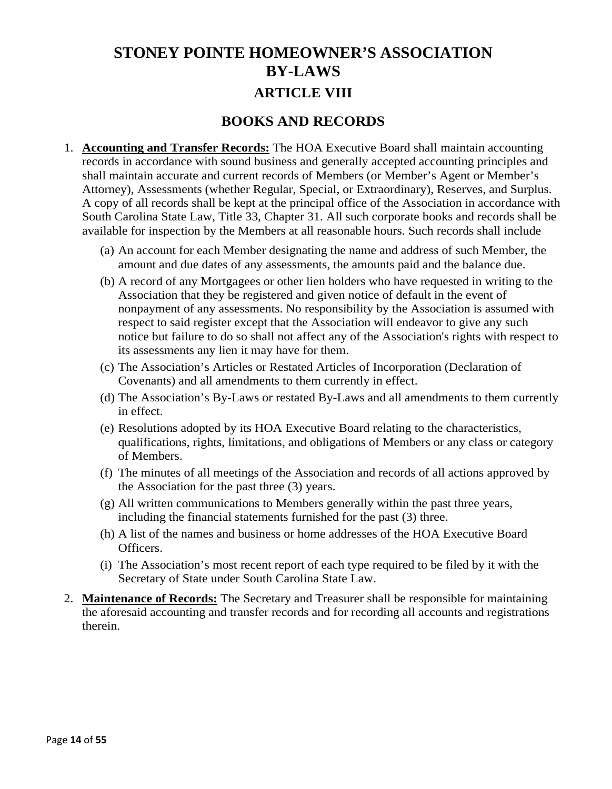# **STONEY POINTE HOMEOWNER'S ASSOCIATION BY-LAWS ARTICLE VIII**

### **BOOKS AND RECORDS**

- 1. **Accounting and Transfer Records:** The HOA Executive Board shall maintain accounting records in accordance with sound business and generally accepted accounting principles and shall maintain accurate and current records of Members (or Member's Agent or Member's Attorney), Assessments (whether Regular, Special, or Extraordinary), Reserves, and Surplus. A copy of all records shall be kept at the principal office of the Association in accordance with South Carolina State Law, Title 33, Chapter 31. All such corporate books and records shall be available for inspection by the Members at all reasonable hours. Such records shall include
	- (a) An account for each Member designating the name and address of such Member, the amount and due dates of any assessments, the amounts paid and the balance due.
	- (b) A record of any Mortgagees or other lien holders who have requested in writing to the Association that they be registered and given notice of default in the event of nonpayment of any assessments. No responsibility by the Association is assumed with respect to said register except that the Association will endeavor to give any such notice but failure to do so shall not affect any of the Association's rights with respect to its assessments any lien it may have for them.
	- (c) The Association's Articles or Restated Articles of Incorporation (Declaration of Covenants) and all amendments to them currently in effect.
	- (d) The Association's By-Laws or restated By-Laws and all amendments to them currently in effect.
	- (e) Resolutions adopted by its HOA Executive Board relating to the characteristics, qualifications, rights, limitations, and obligations of Members or any class or category of Members.
	- (f) The minutes of all meetings of the Association and records of all actions approved by the Association for the past three (3) years.
	- (g) All written communications to Members generally within the past three years, including the financial statements furnished for the past (3) three.
	- (h) A list of the names and business or home addresses of the HOA Executive Board Officers.
	- (i) The Association's most recent report of each type required to be filed by it with the Secretary of State under South Carolina State Law.
- 2. **Maintenance of Records:** The Secretary and Treasurer shall be responsible for maintaining the aforesaid accounting and transfer records and for recording all accounts and registrations therein.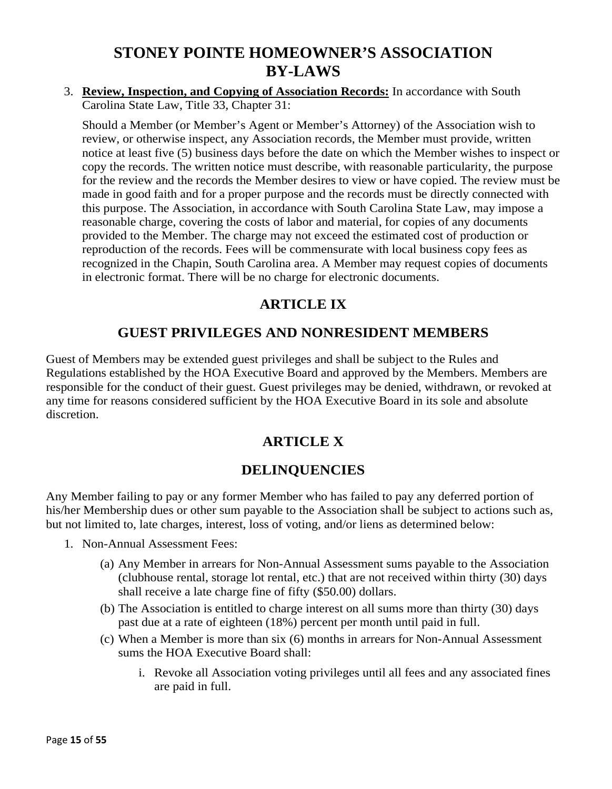### 3. **Review, Inspection, and Copying of Association Records:** In accordance with South Carolina State Law, Title 33, Chapter 31:

Should a Member (or Member's Agent or Member's Attorney) of the Association wish to review, or otherwise inspect, any Association records, the Member must provide, written notice at least five (5) business days before the date on which the Member wishes to inspect or copy the records. The written notice must describe, with reasonable particularity, the purpose for the review and the records the Member desires to view or have copied. The review must be made in good faith and for a proper purpose and the records must be directly connected with this purpose. The Association, in accordance with South Carolina State Law, may impose a reasonable charge, covering the costs of labor and material, for copies of any documents provided to the Member. The charge may not exceed the estimated cost of production or reproduction of the records. Fees will be commensurate with local business copy fees as recognized in the Chapin, South Carolina area. A Member may request copies of documents in electronic format. There will be no charge for electronic documents.

### **ARTICLE IX**

### **GUEST PRIVILEGES AND NONRESIDENT MEMBERS**

Guest of Members may be extended guest privileges and shall be subject to the Rules and Regulations established by the HOA Executive Board and approved by the Members. Members are responsible for the conduct of their guest. Guest privileges may be denied, withdrawn, or revoked at any time for reasons considered sufficient by the HOA Executive Board in its sole and absolute discretion.

### **ARTICLE X**

### **DELINQUENCIES**

Any Member failing to pay or any former Member who has failed to pay any deferred portion of his/her Membership dues or other sum payable to the Association shall be subject to actions such as, but not limited to, late charges, interest, loss of voting, and/or liens as determined below:

- 1. Non-Annual Assessment Fees:
	- (a) Any Member in arrears for Non-Annual Assessment sums payable to the Association (clubhouse rental, storage lot rental, etc.) that are not received within thirty (30) days shall receive a late charge fine of fifty (\$50.00) dollars.
	- (b) The Association is entitled to charge interest on all sums more than thirty (30) days past due at a rate of eighteen (18%) percent per month until paid in full.
	- (c) When a Member is more than six (6) months in arrears for Non-Annual Assessment sums the HOA Executive Board shall:
		- i. Revoke all Association voting privileges until all fees and any associated fines are paid in full.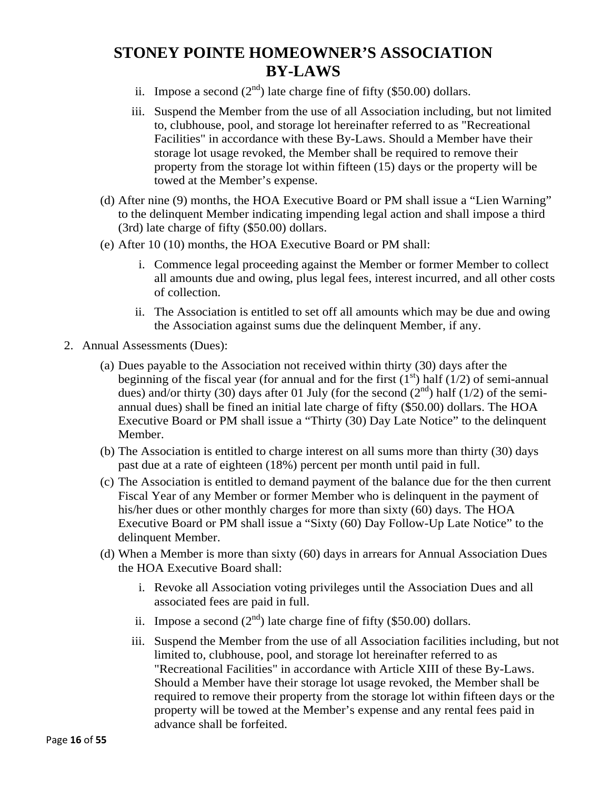- ii. Impose a second  $(2<sup>nd</sup>)$  late charge fine of fifty (\$50.00) dollars.
- iii. Suspend the Member from the use of all Association including, but not limited to, clubhouse, pool, and storage lot hereinafter referred to as "Recreational Facilities" in accordance with these By-Laws. Should a Member have their storage lot usage revoked, the Member shall be required to remove their property from the storage lot within fifteen (15) days or the property will be towed at the Member's expense.
- (d) After nine (9) months, the HOA Executive Board or PM shall issue a "Lien Warning" to the delinquent Member indicating impending legal action and shall impose a third (3rd) late charge of fifty (\$50.00) dollars.
- (e) After 10 (10) months, the HOA Executive Board or PM shall:
	- i. Commence legal proceeding against the Member or former Member to collect all amounts due and owing, plus legal fees, interest incurred, and all other costs of collection.
	- ii. The Association is entitled to set off all amounts which may be due and owing the Association against sums due the delinquent Member, if any.
- 2. Annual Assessments (Dues):
	- (a) Dues payable to the Association not received within thirty (30) days after the beginning of the fiscal year (for annual and for the first  $(1<sup>st</sup>)$  half  $(1/2)$  of semi-annual dues) and/or thirty (30) days after 01 July (for the second  $(2<sup>nd</sup>)$  half (1/2) of the semiannual dues) shall be fined an initial late charge of fifty (\$50.00) dollars. The HOA Executive Board or PM shall issue a "Thirty (30) Day Late Notice" to the delinquent Member.
	- (b) The Association is entitled to charge interest on all sums more than thirty (30) days past due at a rate of eighteen (18%) percent per month until paid in full.
	- (c) The Association is entitled to demand payment of the balance due for the then current Fiscal Year of any Member or former Member who is delinquent in the payment of his/her dues or other monthly charges for more than sixty (60) days. The HOA Executive Board or PM shall issue a "Sixty (60) Day Follow-Up Late Notice" to the delinquent Member.
	- (d) When a Member is more than sixty (60) days in arrears for Annual Association Dues the HOA Executive Board shall:
		- i. Revoke all Association voting privileges until the Association Dues and all associated fees are paid in full.
		- ii. Impose a second  $(2<sup>nd</sup>)$  late charge fine of fifty (\$50.00) dollars.
		- iii. Suspend the Member from the use of all Association facilities including, but not limited to, clubhouse, pool, and storage lot hereinafter referred to as "Recreational Facilities" in accordance with Article XIII of these By-Laws. Should a Member have their storage lot usage revoked, the Member shall be required to remove their property from the storage lot within fifteen days or the property will be towed at the Member's expense and any rental fees paid in advance shall be forfeited.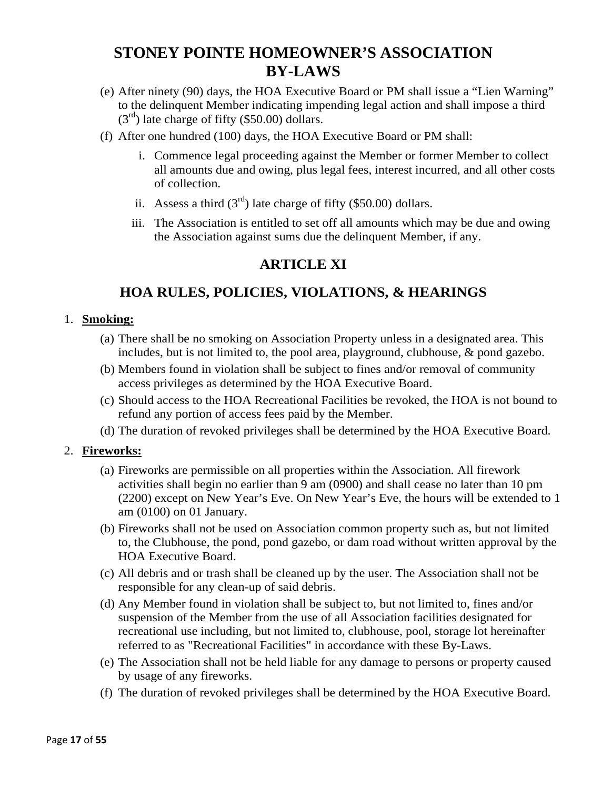- (e) After ninety (90) days, the HOA Executive Board or PM shall issue a "Lien Warning" to the delinquent Member indicating impending legal action and shall impose a third  $(3<sup>rd</sup>)$  late charge of fifty (\$50.00) dollars.
- (f) After one hundred (100) days, the HOA Executive Board or PM shall:
	- i. Commence legal proceeding against the Member or former Member to collect all amounts due and owing, plus legal fees, interest incurred, and all other costs of collection.
	- ii. Assess a third  $(3<sup>rd</sup>)$  late charge of fifty (\$50.00) dollars.
	- iii. The Association is entitled to set off all amounts which may be due and owing the Association against sums due the delinquent Member, if any.

### **ARTICLE XI**

### **HOA RULES, POLICIES, VIOLATIONS, & HEARINGS**

#### 1. **Smoking:**

- (a) There shall be no smoking on Association Property unless in a designated area. This includes, but is not limited to, the pool area, playground, clubhouse, & pond gazebo.
- (b) Members found in violation shall be subject to fines and/or removal of community access privileges as determined by the HOA Executive Board.
- (c) Should access to the HOA Recreational Facilities be revoked, the HOA is not bound to refund any portion of access fees paid by the Member.
- (d) The duration of revoked privileges shall be determined by the HOA Executive Board.

#### 2. **Fireworks:**

- (a) Fireworks are permissible on all properties within the Association. All firework activities shall begin no earlier than 9 am (0900) and shall cease no later than 10 pm (2200) except on New Year's Eve. On New Year's Eve, the hours will be extended to 1 am (0100) on 01 January.
- (b) Fireworks shall not be used on Association common property such as, but not limited to, the Clubhouse, the pond, pond gazebo, or dam road without written approval by the HOA Executive Board.
- (c) All debris and or trash shall be cleaned up by the user. The Association shall not be responsible for any clean-up of said debris.
- (d) Any Member found in violation shall be subject to, but not limited to, fines and/or suspension of the Member from the use of all Association facilities designated for recreational use including, but not limited to, clubhouse, pool, storage lot hereinafter referred to as "Recreational Facilities" in accordance with these By-Laws.
- (e) The Association shall not be held liable for any damage to persons or property caused by usage of any fireworks.
- (f) The duration of revoked privileges shall be determined by the HOA Executive Board.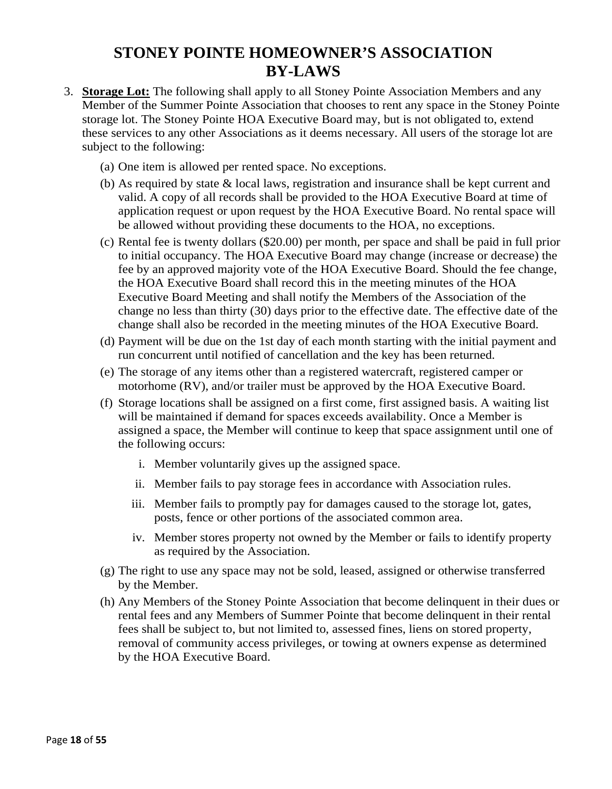- 3. **Storage Lot:** The following shall apply to all Stoney Pointe Association Members and any Member of the Summer Pointe Association that chooses to rent any space in the Stoney Pointe storage lot. The Stoney Pointe HOA Executive Board may, but is not obligated to, extend these services to any other Associations as it deems necessary. All users of the storage lot are subject to the following:
	- (a) One item is allowed per rented space. No exceptions.
	- (b) As required by state & local laws, registration and insurance shall be kept current and valid. A copy of all records shall be provided to the HOA Executive Board at time of application request or upon request by the HOA Executive Board. No rental space will be allowed without providing these documents to the HOA, no exceptions.
	- (c) Rental fee is twenty dollars (\$20.00) per month, per space and shall be paid in full prior to initial occupancy. The HOA Executive Board may change (increase or decrease) the fee by an approved majority vote of the HOA Executive Board. Should the fee change, the HOA Executive Board shall record this in the meeting minutes of the HOA Executive Board Meeting and shall notify the Members of the Association of the change no less than thirty (30) days prior to the effective date. The effective date of the change shall also be recorded in the meeting minutes of the HOA Executive Board.
	- (d) Payment will be due on the 1st day of each month starting with the initial payment and run concurrent until notified of cancellation and the key has been returned.
	- (e) The storage of any items other than a registered watercraft, registered camper or motorhome (RV), and/or trailer must be approved by the HOA Executive Board.
	- (f) Storage locations shall be assigned on a first come, first assigned basis. A waiting list will be maintained if demand for spaces exceeds availability. Once a Member is assigned a space, the Member will continue to keep that space assignment until one of the following occurs:
		- i. Member voluntarily gives up the assigned space.
		- ii. Member fails to pay storage fees in accordance with Association rules.
		- iii. Member fails to promptly pay for damages caused to the storage lot, gates, posts, fence or other portions of the associated common area.
		- iv. Member stores property not owned by the Member or fails to identify property as required by the Association.
	- (g) The right to use any space may not be sold, leased, assigned or otherwise transferred by the Member.
	- (h) Any Members of the Stoney Pointe Association that become delinquent in their dues or rental fees and any Members of Summer Pointe that become delinquent in their rental fees shall be subject to, but not limited to, assessed fines, liens on stored property, removal of community access privileges, or towing at owners expense as determined by the HOA Executive Board.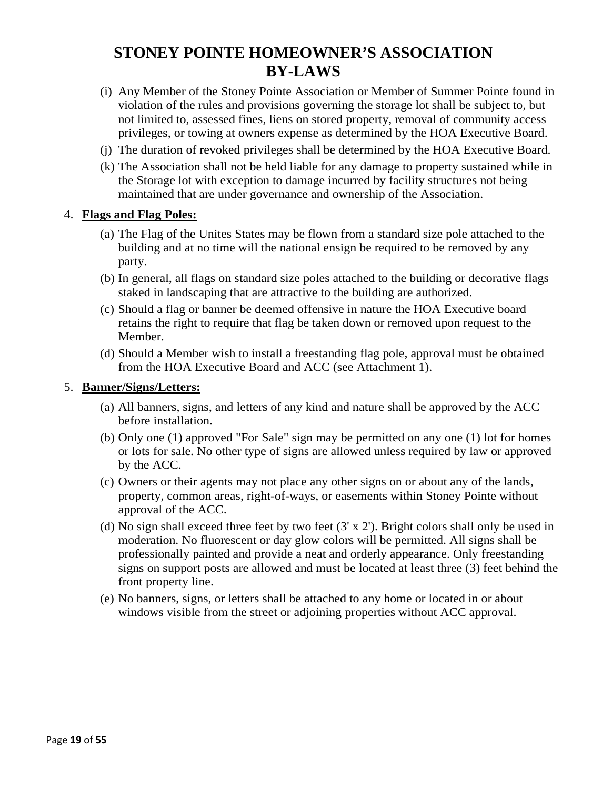- (i) Any Member of the Stoney Pointe Association or Member of Summer Pointe found in violation of the rules and provisions governing the storage lot shall be subject to, but not limited to, assessed fines, liens on stored property, removal of community access privileges, or towing at owners expense as determined by the HOA Executive Board.
- (j) The duration of revoked privileges shall be determined by the HOA Executive Board.
- (k) The Association shall not be held liable for any damage to property sustained while in the Storage lot with exception to damage incurred by facility structures not being maintained that are under governance and ownership of the Association.

#### 4. **Flags and Flag Poles:**

- (a) The Flag of the Unites States may be flown from a standard size pole attached to the building and at no time will the national ensign be required to be removed by any party.
- (b) In general, all flags on standard size poles attached to the building or decorative flags staked in landscaping that are attractive to the building are authorized.
- (c) Should a flag or banner be deemed offensive in nature the HOA Executive board retains the right to require that flag be taken down or removed upon request to the Member.
- (d) Should a Member wish to install a freestanding flag pole, approval must be obtained from the HOA Executive Board and ACC (see Attachment 1).

#### 5. **Banner/Signs/Letters:**

- (a) All banners, signs, and letters of any kind and nature shall be approved by the ACC before installation.
- (b) Only one (1) approved "For Sale" sign may be permitted on any one (1) lot for homes or lots for sale. No other type of signs are allowed unless required by law or approved by the ACC.
- (c) Owners or their agents may not place any other signs on or about any of the lands, property, common areas, right-of-ways, or easements within Stoney Pointe without approval of the ACC.
- (d) No sign shall exceed three feet by two feet (3' x 2'). Bright colors shall only be used in moderation. No fluorescent or day glow colors will be permitted. All signs shall be professionally painted and provide a neat and orderly appearance. Only freestanding signs on support posts are allowed and must be located at least three (3) feet behind the front property line.
- (e) No banners, signs, or letters shall be attached to any home or located in or about windows visible from the street or adjoining properties without ACC approval.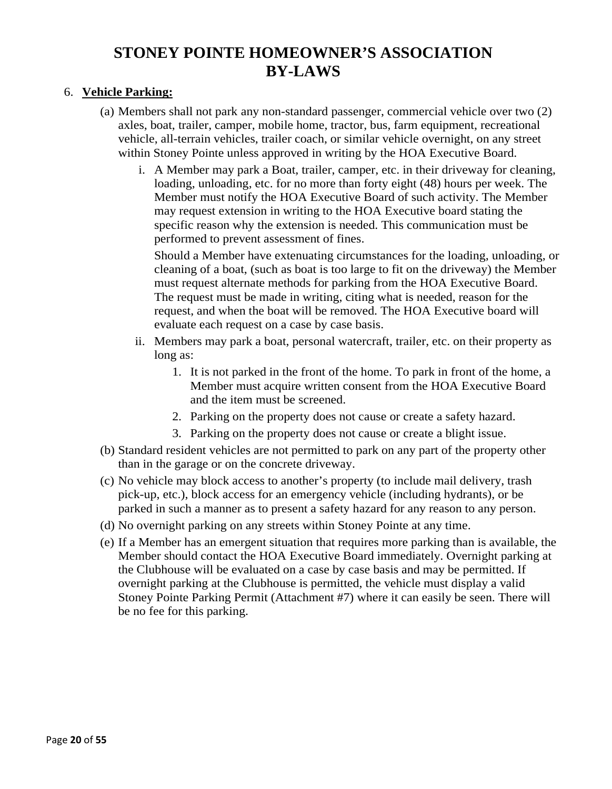#### 6. **Vehicle Parking:**

- (a) Members shall not park any non-standard passenger, commercial vehicle over two (2) axles, boat, trailer, camper, mobile home, tractor, bus, farm equipment, recreational vehicle, all-terrain vehicles, trailer coach, or similar vehicle overnight, on any street within Stoney Pointe unless approved in writing by the HOA Executive Board.
	- i. A Member may park a Boat, trailer, camper, etc. in their driveway for cleaning, loading, unloading, etc. for no more than forty eight (48) hours per week. The Member must notify the HOA Executive Board of such activity. The Member may request extension in writing to the HOA Executive board stating the specific reason why the extension is needed. This communication must be performed to prevent assessment of fines.

Should a Member have extenuating circumstances for the loading, unloading, or cleaning of a boat, (such as boat is too large to fit on the driveway) the Member must request alternate methods for parking from the HOA Executive Board. The request must be made in writing, citing what is needed, reason for the request, and when the boat will be removed. The HOA Executive board will evaluate each request on a case by case basis.

- ii. Members may park a boat, personal watercraft, trailer, etc. on their property as long as:
	- 1. It is not parked in the front of the home. To park in front of the home, a Member must acquire written consent from the HOA Executive Board and the item must be screened.
	- 2. Parking on the property does not cause or create a safety hazard.
	- 3. Parking on the property does not cause or create a blight issue.
- (b) Standard resident vehicles are not permitted to park on any part of the property other than in the garage or on the concrete driveway.
- (c) No vehicle may block access to another's property (to include mail delivery, trash pick-up, etc.), block access for an emergency vehicle (including hydrants), or be parked in such a manner as to present a safety hazard for any reason to any person.
- (d) No overnight parking on any streets within Stoney Pointe at any time.
- (e) If a Member has an emergent situation that requires more parking than is available, the Member should contact the HOA Executive Board immediately. Overnight parking at the Clubhouse will be evaluated on a case by case basis and may be permitted. If overnight parking at the Clubhouse is permitted, the vehicle must display a valid Stoney Pointe Parking Permit (Attachment #7) where it can easily be seen. There will be no fee for this parking.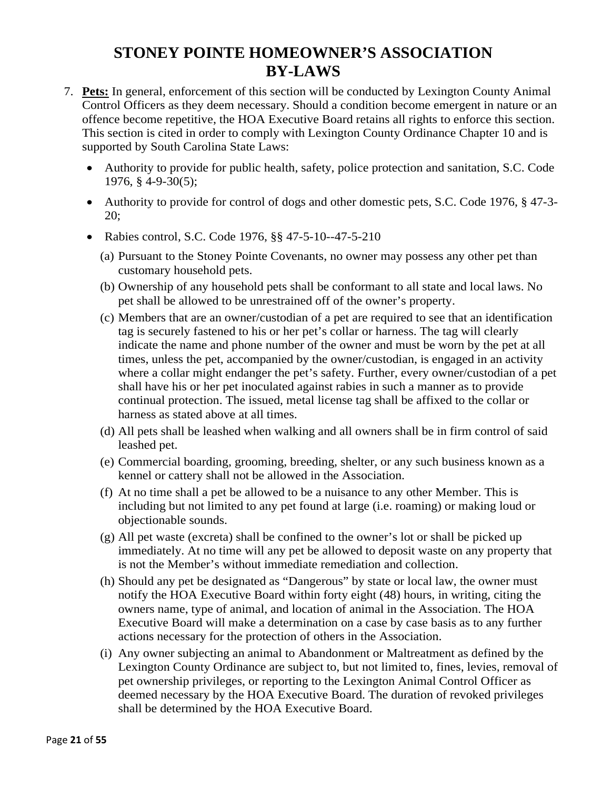- 7. **Pets:** In general, enforcement of this section will be conducted by Lexington County Animal Control Officers as they deem necessary. Should a condition become emergent in nature or an offence become repetitive, the HOA Executive Board retains all rights to enforce this section. This section is cited in order to comply with Lexington County Ordinance Chapter 10 and is supported by South Carolina State Laws:
	- Authority to provide for public health, safety, police protection and sanitation, S.C. Code 1976, § 4-9-30(5);
	- Authority to provide for control of dogs and other domestic pets, S.C. Code 1976, § 47-3-20;
	- Rabies control, S.C. Code 1976, §§ 47-5-10--47-5-210
		- (a) Pursuant to the Stoney Pointe Covenants, no owner may possess any other pet than customary household pets.
		- (b) Ownership of any household pets shall be conformant to all state and local laws. No pet shall be allowed to be unrestrained off of the owner's property.
		- (c) Members that are an owner/custodian of a pet are required to see that an identification tag is securely fastened to his or her pet's collar or harness. The tag will clearly indicate the name and phone number of the owner and must be worn by the pet at all times, unless the pet, accompanied by the owner/custodian, is engaged in an activity where a collar might endanger the pet's safety. Further, every owner/custodian of a pet shall have his or her pet inoculated against rabies in such a manner as to provide continual protection. The issued, metal license tag shall be affixed to the collar or harness as stated above at all times.
		- (d) All pets shall be leashed when walking and all owners shall be in firm control of said leashed pet.
		- (e) Commercial boarding, grooming, breeding, shelter, or any such business known as a kennel or cattery shall not be allowed in the Association.
		- (f) At no time shall a pet be allowed to be a nuisance to any other Member. This is including but not limited to any pet found at large (i.e. roaming) or making loud or objectionable sounds.
		- (g) All pet waste (excreta) shall be confined to the owner's lot or shall be picked up immediately. At no time will any pet be allowed to deposit waste on any property that is not the Member's without immediate remediation and collection.
		- (h) Should any pet be designated as "Dangerous" by state or local law, the owner must notify the HOA Executive Board within forty eight (48) hours, in writing, citing the owners name, type of animal, and location of animal in the Association. The HOA Executive Board will make a determination on a case by case basis as to any further actions necessary for the protection of others in the Association.
		- (i) Any owner subjecting an animal to Abandonment or Maltreatment as defined by the Lexington County Ordinance are subject to, but not limited to, fines, levies, removal of pet ownership privileges, or reporting to the Lexington Animal Control Officer as deemed necessary by the HOA Executive Board. The duration of revoked privileges shall be determined by the HOA Executive Board.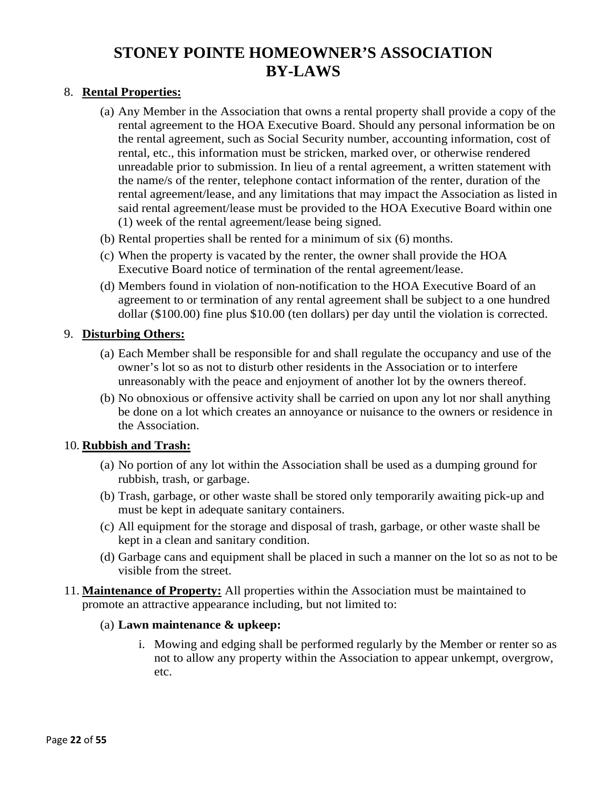#### 8. **Rental Properties:**

- (a) Any Member in the Association that owns a rental property shall provide a copy of the rental agreement to the HOA Executive Board. Should any personal information be on the rental agreement, such as Social Security number, accounting information, cost of rental, etc., this information must be stricken, marked over, or otherwise rendered unreadable prior to submission. In lieu of a rental agreement, a written statement with the name/s of the renter, telephone contact information of the renter, duration of the rental agreement/lease, and any limitations that may impact the Association as listed in said rental agreement/lease must be provided to the HOA Executive Board within one (1) week of the rental agreement/lease being signed.
- (b) Rental properties shall be rented for a minimum of six (6) months.
- (c) When the property is vacated by the renter, the owner shall provide the HOA Executive Board notice of termination of the rental agreement/lease.
- (d) Members found in violation of non-notification to the HOA Executive Board of an agreement to or termination of any rental agreement shall be subject to a one hundred dollar (\$100.00) fine plus \$10.00 (ten dollars) per day until the violation is corrected.

#### 9. **Disturbing Others:**

- (a) Each Member shall be responsible for and shall regulate the occupancy and use of the owner's lot so as not to disturb other residents in the Association or to interfere unreasonably with the peace and enjoyment of another lot by the owners thereof.
- (b) No obnoxious or offensive activity shall be carried on upon any lot nor shall anything be done on a lot which creates an annoyance or nuisance to the owners or residence in the Association.

#### 10. **Rubbish and Trash:**

- (a) No portion of any lot within the Association shall be used as a dumping ground for rubbish, trash, or garbage.
- (b) Trash, garbage, or other waste shall be stored only temporarily awaiting pick-up and must be kept in adequate sanitary containers.
- (c) All equipment for the storage and disposal of trash, garbage, or other waste shall be kept in a clean and sanitary condition.
- (d) Garbage cans and equipment shall be placed in such a manner on the lot so as not to be visible from the street.
- 11. **Maintenance of Property:** All properties within the Association must be maintained to promote an attractive appearance including, but not limited to:

#### (a) **Lawn maintenance & upkeep:**

i. Mowing and edging shall be performed regularly by the Member or renter so as not to allow any property within the Association to appear unkempt, overgrow, etc.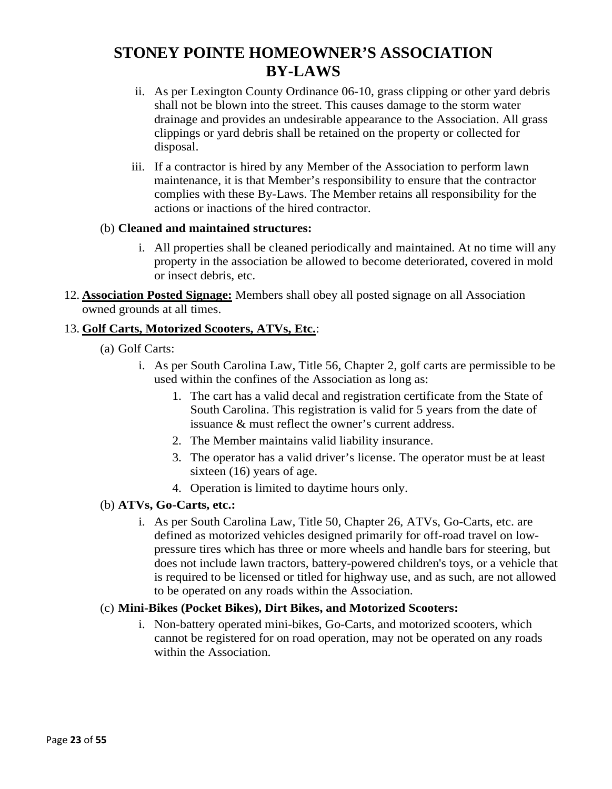- ii. As per Lexington County Ordinance 06-10, grass clipping or other yard debris shall not be blown into the street. This causes damage to the storm water drainage and provides an undesirable appearance to the Association. All grass clippings or yard debris shall be retained on the property or collected for disposal.
- iii. If a contractor is hired by any Member of the Association to perform lawn maintenance, it is that Member's responsibility to ensure that the contractor complies with these By-Laws. The Member retains all responsibility for the actions or inactions of the hired contractor.

#### (b) **Cleaned and maintained structures:**

- i. All properties shall be cleaned periodically and maintained. At no time will any property in the association be allowed to become deteriorated, covered in mold or insect debris, etc.
- 12. **Association Posted Signage:** Members shall obey all posted signage on all Association owned grounds at all times.

#### 13. **Golf Carts, Motorized Scooters, ATVs, Etc.**:

- (a) Golf Carts:
	- i. As per South Carolina Law, Title 56, Chapter 2, golf carts are permissible to be used within the confines of the Association as long as:
		- 1. The cart has a valid decal and registration certificate from the State of South Carolina. This registration is valid for 5 years from the date of issuance & must reflect the owner's current address.
		- 2. The Member maintains valid liability insurance.
		- 3. The operator has a valid driver's license. The operator must be at least sixteen (16) years of age.
		- 4. Operation is limited to daytime hours only.

#### (b) **ATVs, Go-Carts, etc.:**

i. As per South Carolina Law, Title 50, Chapter 26, ATVs, Go-Carts, etc. are defined as motorized vehicles designed primarily for off-road travel on lowpressure tires which has three or more wheels and handle bars for steering, but does not include lawn tractors, battery-powered children's toys, or a vehicle that is required to be licensed or titled for highway use, and as such, are not allowed to be operated on any roads within the Association.

#### (c) **Mini-Bikes (Pocket Bikes), Dirt Bikes, and Motorized Scooters:**

i. Non-battery operated mini-bikes, Go-Carts, and motorized scooters, which cannot be registered for on road operation, may not be operated on any roads within the Association.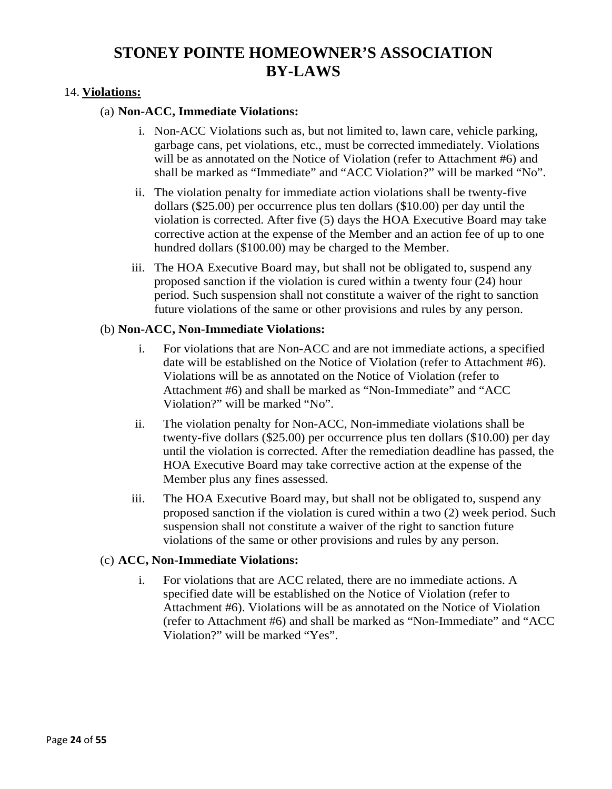#### 14. **Violations:**

#### (a) **Non-ACC, Immediate Violations:**

- i. Non-ACC Violations such as, but not limited to, lawn care, vehicle parking, garbage cans, pet violations, etc., must be corrected immediately. Violations will be as annotated on the Notice of Violation (refer to Attachment #6) and shall be marked as "Immediate" and "ACC Violation?" will be marked "No".
- ii. The violation penalty for immediate action violations shall be twenty-five dollars (\$25.00) per occurrence plus ten dollars (\$10.00) per day until the violation is corrected. After five (5) days the HOA Executive Board may take corrective action at the expense of the Member and an action fee of up to one hundred dollars (\$100.00) may be charged to the Member.
- iii. The HOA Executive Board may, but shall not be obligated to, suspend any proposed sanction if the violation is cured within a twenty four (24) hour period. Such suspension shall not constitute a waiver of the right to sanction future violations of the same or other provisions and rules by any person.

#### (b) **Non-ACC, Non-Immediate Violations:**

- i. For violations that are Non-ACC and are not immediate actions, a specified date will be established on the Notice of Violation (refer to Attachment #6). Violations will be as annotated on the Notice of Violation (refer to Attachment #6) and shall be marked as "Non-Immediate" and "ACC Violation?" will be marked "No".
- ii. The violation penalty for Non-ACC, Non-immediate violations shall be twenty-five dollars (\$25.00) per occurrence plus ten dollars (\$10.00) per day until the violation is corrected. After the remediation deadline has passed, the HOA Executive Board may take corrective action at the expense of the Member plus any fines assessed.
- iii. The HOA Executive Board may, but shall not be obligated to, suspend any proposed sanction if the violation is cured within a two (2) week period. Such suspension shall not constitute a waiver of the right to sanction future violations of the same or other provisions and rules by any person.

#### (c) **ACC, Non-Immediate Violations:**

i. For violations that are ACC related, there are no immediate actions. A specified date will be established on the Notice of Violation (refer to Attachment #6). Violations will be as annotated on the Notice of Violation (refer to Attachment #6) and shall be marked as "Non-Immediate" and "ACC Violation?" will be marked "Yes".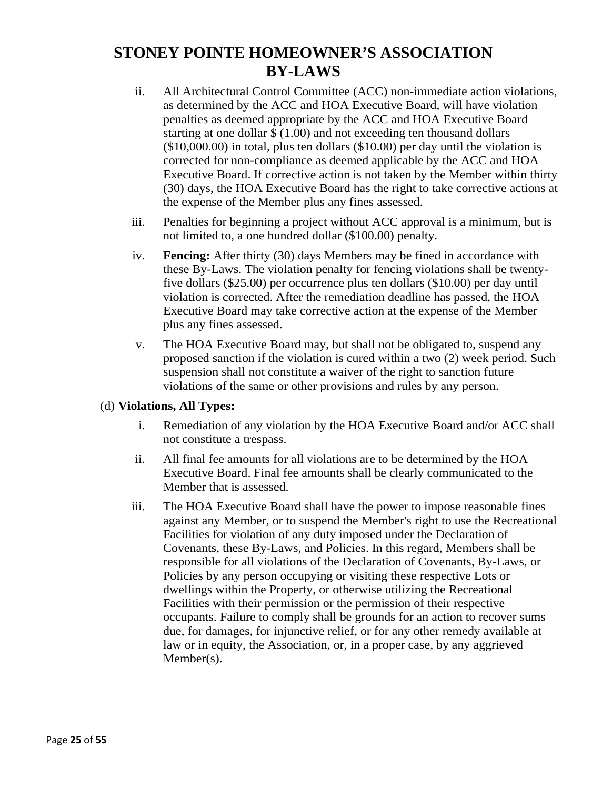- ii. All Architectural Control Committee (ACC) non-immediate action violations, as determined by the ACC and HOA Executive Board, will have violation penalties as deemed appropriate by the ACC and HOA Executive Board starting at one dollar \$ (1.00) and not exceeding ten thousand dollars (\$10,000.00) in total, plus ten dollars (\$10.00) per day until the violation is corrected for non-compliance as deemed applicable by the ACC and HOA Executive Board. If corrective action is not taken by the Member within thirty (30) days, the HOA Executive Board has the right to take corrective actions at the expense of the Member plus any fines assessed.
- iii. Penalties for beginning a project without ACC approval is a minimum, but is not limited to, a one hundred dollar (\$100.00) penalty.
- iv. **Fencing:** After thirty (30) days Members may be fined in accordance with these By-Laws. The violation penalty for fencing violations shall be twentyfive dollars (\$25.00) per occurrence plus ten dollars (\$10.00) per day until violation is corrected. After the remediation deadline has passed, the HOA Executive Board may take corrective action at the expense of the Member plus any fines assessed.
- v. The HOA Executive Board may, but shall not be obligated to, suspend any proposed sanction if the violation is cured within a two (2) week period. Such suspension shall not constitute a waiver of the right to sanction future violations of the same or other provisions and rules by any person.

#### (d) **Violations, All Types:**

- i. Remediation of any violation by the HOA Executive Board and/or ACC shall not constitute a trespass.
- ii. All final fee amounts for all violations are to be determined by the HOA Executive Board. Final fee amounts shall be clearly communicated to the Member that is assessed.
- iii. The HOA Executive Board shall have the power to impose reasonable fines against any Member, or to suspend the Member's right to use the Recreational Facilities for violation of any duty imposed under the Declaration of Covenants, these By-Laws, and Policies. In this regard, Members shall be responsible for all violations of the Declaration of Covenants, By-Laws, or Policies by any person occupying or visiting these respective Lots or dwellings within the Property, or otherwise utilizing the Recreational Facilities with their permission or the permission of their respective occupants. Failure to comply shall be grounds for an action to recover sums due, for damages, for injunctive relief, or for any other remedy available at law or in equity, the Association, or, in a proper case, by any aggrieved Member(s).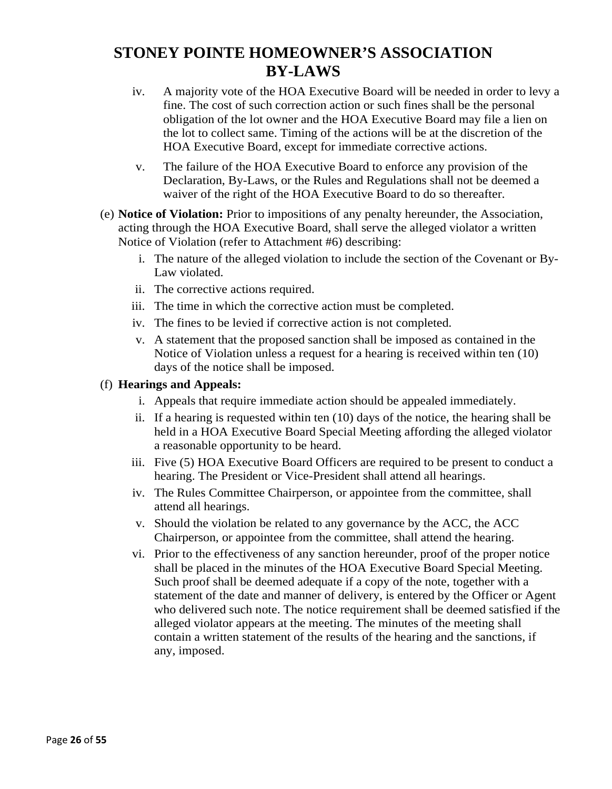- iv. A majority vote of the HOA Executive Board will be needed in order to levy a fine. The cost of such correction action or such fines shall be the personal obligation of the lot owner and the HOA Executive Board may file a lien on the lot to collect same. Timing of the actions will be at the discretion of the HOA Executive Board, except for immediate corrective actions.
- v. The failure of the HOA Executive Board to enforce any provision of the Declaration, By-Laws, or the Rules and Regulations shall not be deemed a waiver of the right of the HOA Executive Board to do so thereafter.
- (e) **Notice of Violation:** Prior to impositions of any penalty hereunder, the Association, acting through the HOA Executive Board, shall serve the alleged violator a written Notice of Violation (refer to Attachment #6) describing:
	- i. The nature of the alleged violation to include the section of the Covenant or By-Law violated.
	- ii. The corrective actions required.
	- iii. The time in which the corrective action must be completed.
	- iv. The fines to be levied if corrective action is not completed.
	- v. A statement that the proposed sanction shall be imposed as contained in the Notice of Violation unless a request for a hearing is received within ten (10) days of the notice shall be imposed.

#### (f) **Hearings and Appeals:**

- i. Appeals that require immediate action should be appealed immediately.
- ii. If a hearing is requested within ten (10) days of the notice, the hearing shall be held in a HOA Executive Board Special Meeting affording the alleged violator a reasonable opportunity to be heard.
- iii. Five (5) HOA Executive Board Officers are required to be present to conduct a hearing. The President or Vice-President shall attend all hearings.
- iv. The Rules Committee Chairperson, or appointee from the committee, shall attend all hearings.
- v. Should the violation be related to any governance by the ACC, the ACC Chairperson, or appointee from the committee, shall attend the hearing.
- vi. Prior to the effectiveness of any sanction hereunder, proof of the proper notice shall be placed in the minutes of the HOA Executive Board Special Meeting. Such proof shall be deemed adequate if a copy of the note, together with a statement of the date and manner of delivery, is entered by the Officer or Agent who delivered such note. The notice requirement shall be deemed satisfied if the alleged violator appears at the meeting. The minutes of the meeting shall contain a written statement of the results of the hearing and the sanctions, if any, imposed.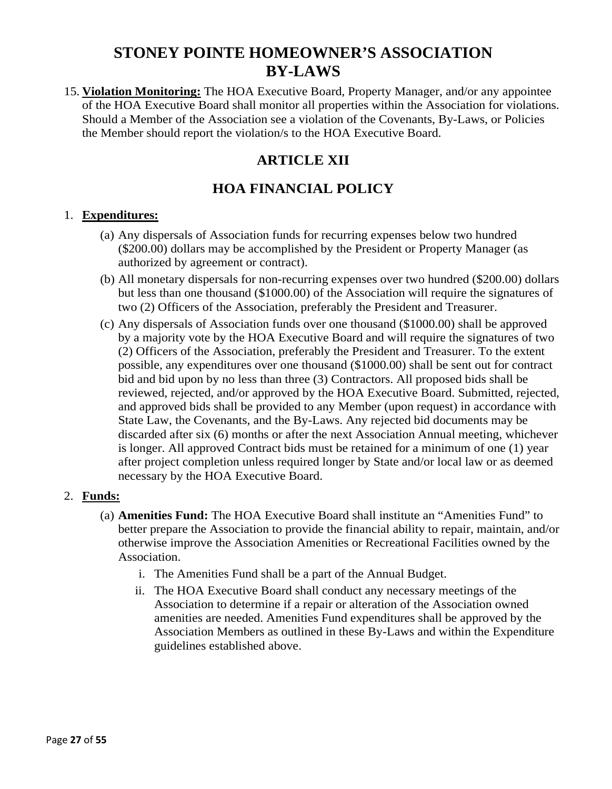15. **Violation Monitoring:** The HOA Executive Board, Property Manager, and/or any appointee of the HOA Executive Board shall monitor all properties within the Association for violations. Should a Member of the Association see a violation of the Covenants, By-Laws, or Policies the Member should report the violation/s to the HOA Executive Board.

### **ARTICLE XII**

### **HOA FINANCIAL POLICY**

#### 1. **Expenditures:**

- (a) Any dispersals of Association funds for recurring expenses below two hundred (\$200.00) dollars may be accomplished by the President or Property Manager (as authorized by agreement or contract).
- (b) All monetary dispersals for non-recurring expenses over two hundred (\$200.00) dollars but less than one thousand (\$1000.00) of the Association will require the signatures of two (2) Officers of the Association, preferably the President and Treasurer.
- (c) Any dispersals of Association funds over one thousand (\$1000.00) shall be approved by a majority vote by the HOA Executive Board and will require the signatures of two (2) Officers of the Association, preferably the President and Treasurer. To the extent possible, any expenditures over one thousand (\$1000.00) shall be sent out for contract bid and bid upon by no less than three (3) Contractors. All proposed bids shall be reviewed, rejected, and/or approved by the HOA Executive Board. Submitted, rejected, and approved bids shall be provided to any Member (upon request) in accordance with State Law, the Covenants, and the By-Laws. Any rejected bid documents may be discarded after six (6) months or after the next Association Annual meeting, whichever is longer. All approved Contract bids must be retained for a minimum of one (1) year after project completion unless required longer by State and/or local law or as deemed necessary by the HOA Executive Board.

#### 2. **Funds:**

- (a) **Amenities Fund:** The HOA Executive Board shall institute an "Amenities Fund" to better prepare the Association to provide the financial ability to repair, maintain, and/or otherwise improve the Association Amenities or Recreational Facilities owned by the Association.
	- i. The Amenities Fund shall be a part of the Annual Budget.
	- ii. The HOA Executive Board shall conduct any necessary meetings of the Association to determine if a repair or alteration of the Association owned amenities are needed. Amenities Fund expenditures shall be approved by the Association Members as outlined in these By-Laws and within the Expenditure guidelines established above.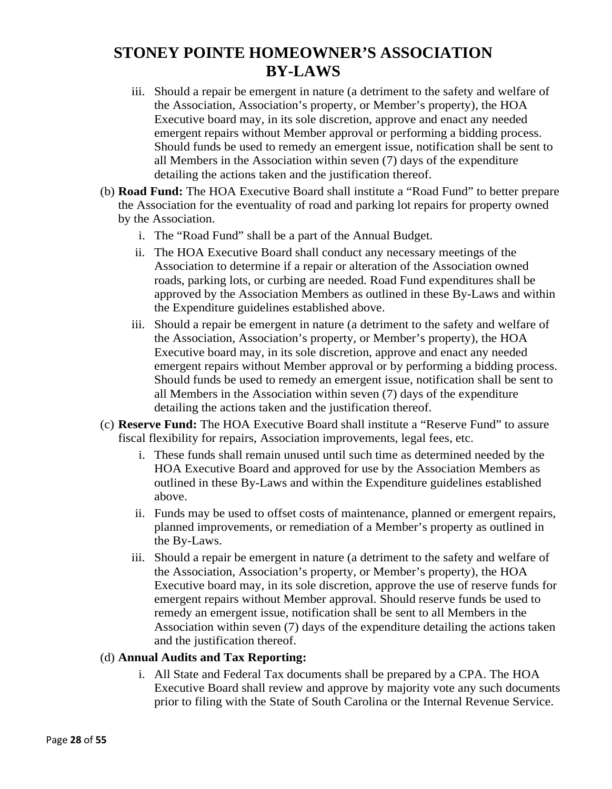- iii. Should a repair be emergent in nature (a detriment to the safety and welfare of the Association, Association's property, or Member's property), the HOA Executive board may, in its sole discretion, approve and enact any needed emergent repairs without Member approval or performing a bidding process. Should funds be used to remedy an emergent issue, notification shall be sent to all Members in the Association within seven (7) days of the expenditure detailing the actions taken and the justification thereof.
- (b) **Road Fund:** The HOA Executive Board shall institute a "Road Fund" to better prepare the Association for the eventuality of road and parking lot repairs for property owned by the Association.
	- i. The "Road Fund" shall be a part of the Annual Budget.
	- ii. The HOA Executive Board shall conduct any necessary meetings of the Association to determine if a repair or alteration of the Association owned roads, parking lots, or curbing are needed. Road Fund expenditures shall be approved by the Association Members as outlined in these By-Laws and within the Expenditure guidelines established above.
	- iii. Should a repair be emergent in nature (a detriment to the safety and welfare of the Association, Association's property, or Member's property), the HOA Executive board may, in its sole discretion, approve and enact any needed emergent repairs without Member approval or by performing a bidding process. Should funds be used to remedy an emergent issue, notification shall be sent to all Members in the Association within seven (7) days of the expenditure detailing the actions taken and the justification thereof.
- (c) **Reserve Fund:** The HOA Executive Board shall institute a "Reserve Fund" to assure fiscal flexibility for repairs, Association improvements, legal fees, etc.
	- i. These funds shall remain unused until such time as determined needed by the HOA Executive Board and approved for use by the Association Members as outlined in these By-Laws and within the Expenditure guidelines established above.
	- ii. Funds may be used to offset costs of maintenance, planned or emergent repairs, planned improvements, or remediation of a Member's property as outlined in the By-Laws.
	- iii. Should a repair be emergent in nature (a detriment to the safety and welfare of the Association, Association's property, or Member's property), the HOA Executive board may, in its sole discretion, approve the use of reserve funds for emergent repairs without Member approval. Should reserve funds be used to remedy an emergent issue, notification shall be sent to all Members in the Association within seven (7) days of the expenditure detailing the actions taken and the justification thereof.

#### (d) **Annual Audits and Tax Reporting:**

i. All State and Federal Tax documents shall be prepared by a CPA. The HOA Executive Board shall review and approve by majority vote any such documents prior to filing with the State of South Carolina or the Internal Revenue Service.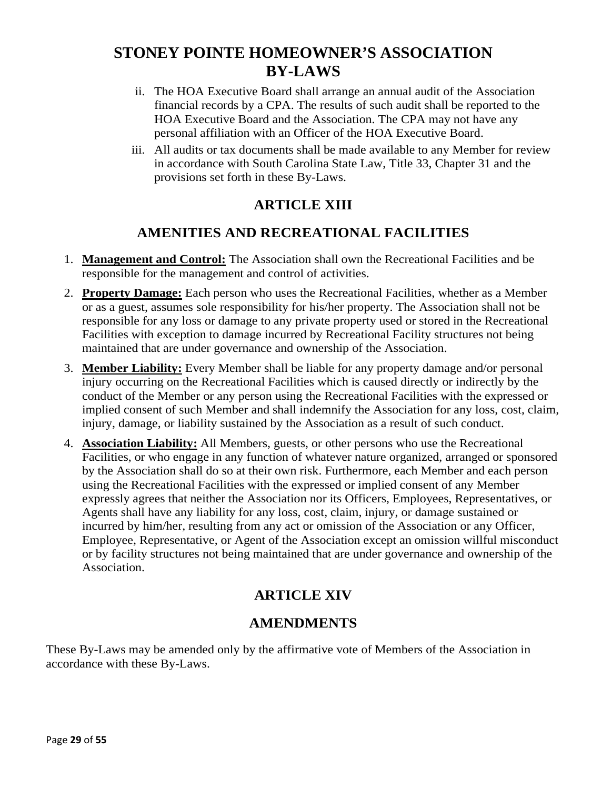- ii. The HOA Executive Board shall arrange an annual audit of the Association financial records by a CPA. The results of such audit shall be reported to the HOA Executive Board and the Association. The CPA may not have any personal affiliation with an Officer of the HOA Executive Board.
- iii. All audits or tax documents shall be made available to any Member for review in accordance with South Carolina State Law, Title 33, Chapter 31 and the provisions set forth in these By-Laws.

### **ARTICLE XIII**

### **AMENITIES AND RECREATIONAL FACILITIES**

- 1. **Management and Control:** The Association shall own the Recreational Facilities and be responsible for the management and control of activities.
- 2. **Property Damage:** Each person who uses the Recreational Facilities, whether as a Member or as a guest, assumes sole responsibility for his/her property. The Association shall not be responsible for any loss or damage to any private property used or stored in the Recreational Facilities with exception to damage incurred by Recreational Facility structures not being maintained that are under governance and ownership of the Association.
- 3. **Member Liability:** Every Member shall be liable for any property damage and/or personal injury occurring on the Recreational Facilities which is caused directly or indirectly by the conduct of the Member or any person using the Recreational Facilities with the expressed or implied consent of such Member and shall indemnify the Association for any loss, cost, claim, injury, damage, or liability sustained by the Association as a result of such conduct.
- 4. **Association Liability:** All Members, guests, or other persons who use the Recreational Facilities, or who engage in any function of whatever nature organized, arranged or sponsored by the Association shall do so at their own risk. Furthermore, each Member and each person using the Recreational Facilities with the expressed or implied consent of any Member expressly agrees that neither the Association nor its Officers, Employees, Representatives, or Agents shall have any liability for any loss, cost, claim, injury, or damage sustained or incurred by him/her, resulting from any act or omission of the Association or any Officer, Employee, Representative, or Agent of the Association except an omission willful misconduct or by facility structures not being maintained that are under governance and ownership of the Association.

# **ARTICLE XIV**

### **AMENDMENTS**

These By-Laws may be amended only by the affirmative vote of Members of the Association in accordance with these By-Laws.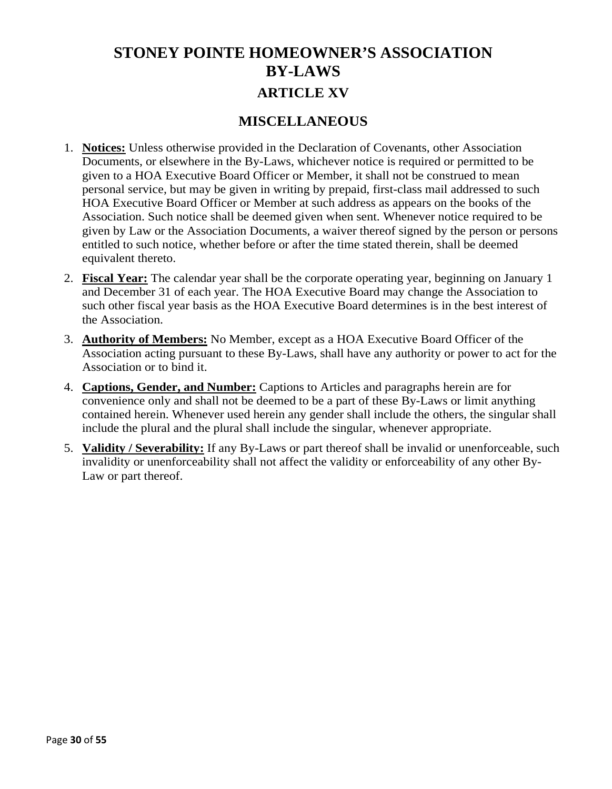# **STONEY POINTE HOMEOWNER'S ASSOCIATION BY-LAWS ARTICLE XV**

### **MISCELLANEOUS**

- 1. **Notices:** Unless otherwise provided in the Declaration of Covenants, other Association Documents, or elsewhere in the By-Laws, whichever notice is required or permitted to be given to a HOA Executive Board Officer or Member, it shall not be construed to mean personal service, but may be given in writing by prepaid, first-class mail addressed to such HOA Executive Board Officer or Member at such address as appears on the books of the Association. Such notice shall be deemed given when sent. Whenever notice required to be given by Law or the Association Documents, a waiver thereof signed by the person or persons entitled to such notice, whether before or after the time stated therein, shall be deemed equivalent thereto.
- 2. **Fiscal Year:** The calendar year shall be the corporate operating year, beginning on January 1 and December 31 of each year. The HOA Executive Board may change the Association to such other fiscal year basis as the HOA Executive Board determines is in the best interest of the Association.
- 3. **Authority of Members:** No Member, except as a HOA Executive Board Officer of the Association acting pursuant to these By-Laws, shall have any authority or power to act for the Association or to bind it.
- 4. **Captions, Gender, and Number:** Captions to Articles and paragraphs herein are for convenience only and shall not be deemed to be a part of these By-Laws or limit anything contained herein. Whenever used herein any gender shall include the others, the singular shall include the plural and the plural shall include the singular, whenever appropriate.
- 5. **Validity / Severability:** If any By-Laws or part thereof shall be invalid or unenforceable, such invalidity or unenforceability shall not affect the validity or enforceability of any other By-Law or part thereof.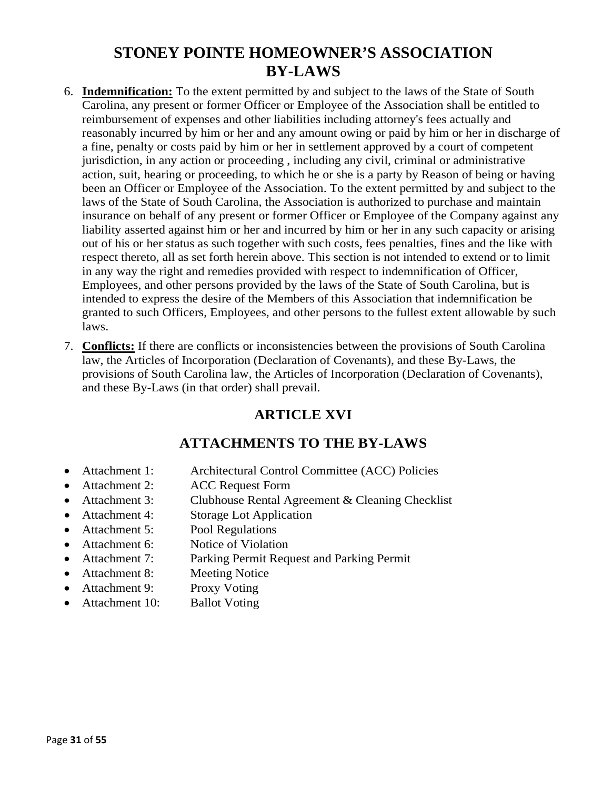- 6. **Indemnification:** To the extent permitted by and subject to the laws of the State of South Carolina, any present or former Officer or Employee of the Association shall be entitled to reimbursement of expenses and other liabilities including attorney's fees actually and reasonably incurred by him or her and any amount owing or paid by him or her in discharge of a fine, penalty or costs paid by him or her in settlement approved by a court of competent jurisdiction, in any action or proceeding , including any civil, criminal or administrative action, suit, hearing or proceeding, to which he or she is a party by Reason of being or having been an Officer or Employee of the Association. To the extent permitted by and subject to the laws of the State of South Carolina, the Association is authorized to purchase and maintain insurance on behalf of any present or former Officer or Employee of the Company against any liability asserted against him or her and incurred by him or her in any such capacity or arising out of his or her status as such together with such costs, fees penalties, fines and the like with respect thereto, all as set forth herein above. This section is not intended to extend or to limit in any way the right and remedies provided with respect to indemnification of Officer, Employees, and other persons provided by the laws of the State of South Carolina, but is intended to express the desire of the Members of this Association that indemnification be granted to such Officers, Employees, and other persons to the fullest extent allowable by such laws.
- 7. **Conflicts:** If there are conflicts or inconsistencies between the provisions of South Carolina law, the Articles of Incorporation (Declaration of Covenants), and these By-Laws, the provisions of South Carolina law, the Articles of Incorporation (Declaration of Covenants), and these By-Laws (in that order) shall prevail.

### **ARTICLE XVI**

### **ATTACHMENTS TO THE BY-LAWS**

- Attachment 1: Architectural Control Committee (ACC) Policies
- Attachment 2: ACC Request Form
- Attachment 3: Clubhouse Rental Agreement & Cleaning Checklist
- Attachment 4: Storage Lot Application
- Attachment 5: Pool Regulations
- Attachment 6: Notice of Violation
- Attachment 7: Parking Permit Request and Parking Permit
- Attachment 8: Meeting Notice
- Attachment 9: Proxy Voting
- Attachment 10: Ballot Voting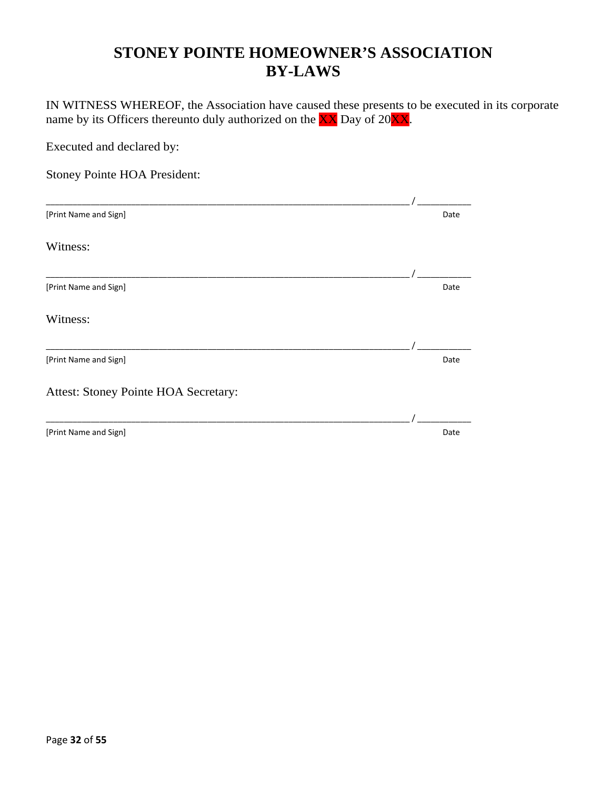IN WITNESS WHEREOF, the Association have caused these presents to be executed in its corporate name by its Officers thereunto duly authorized on the  $\overline{XX}$  Day of 20 $\overline{XX}$ .

Executed and declared by: Stoney Pointe HOA President: \_\_\_\_\_\_\_\_\_\_\_\_\_\_\_\_\_\_\_\_\_\_\_\_\_\_\_\_\_\_\_\_\_\_\_\_\_\_\_\_\_\_\_\_\_\_\_\_\_\_\_\_\_\_\_\_\_\_\_\_\_\_\_\_\_\_\_\_\_\_\_\_\_\_\_\_\_\_\_\_\_ / \_\_\_\_\_\_\_\_\_\_\_\_ [Print Name and Sign] Date and Sign] Date and Sign and Sign and Date and Sign and Date and Sign and Date and Sign and Date and Date and Date and Date and Date and Date and Date and Date and Date and Date and Date and Date Witness: \_\_\_\_\_\_\_\_\_\_\_\_\_\_\_\_\_\_\_\_\_\_\_\_\_\_\_\_\_\_\_\_\_\_\_\_\_\_\_\_\_\_\_\_\_\_\_\_\_\_\_\_\_\_\_\_\_\_\_\_\_\_\_\_\_\_\_\_\_\_\_\_\_\_\_\_\_\_\_\_\_ / \_\_\_\_\_\_\_\_\_\_\_\_ [Print Name and Sign] Date and Sign] Date and Sign and Sign and Date and Sign and Date and Sign and Date and Sign and Date and Date and Date and Date and Date and Date and Date and Date and Date and Date and Date and Date Witness: \_\_\_\_\_\_\_\_\_\_\_\_\_\_\_\_\_\_\_\_\_\_\_\_\_\_\_\_\_\_\_\_\_\_\_\_\_\_\_\_\_\_\_\_\_\_\_\_\_\_\_\_\_\_\_\_\_\_\_\_\_\_\_\_\_\_\_\_\_\_\_\_\_\_\_\_\_\_\_\_\_ / \_\_\_\_\_\_\_\_\_\_\_\_ [Print Name and Sign] Date and Sign] Date and Sign and Sign and Date and Sign and Date and Sign and Date and Sign and Date and Date and Date and Date and Date and Date and Date and Date and Date and Date and Date and Date Attest: Stoney Pointe HOA Secretary: \_\_\_\_\_\_\_\_\_\_\_\_\_\_\_\_\_\_\_\_\_\_\_\_\_\_\_\_\_\_\_\_\_\_\_\_\_\_\_\_\_\_\_\_\_\_\_\_\_\_\_\_\_\_\_\_\_\_\_\_\_\_\_\_\_\_\_\_\_\_\_\_\_\_\_\_\_\_\_\_\_ / \_\_\_\_\_\_\_\_\_\_\_\_ [Print Name and Sign] Date and Sign] Date and Sign and Sign and Date and Sign and Date and Sign and Date and Date and Date and Date and Date and Date and Date and Date and Date and Date and Date and Date and Date and Date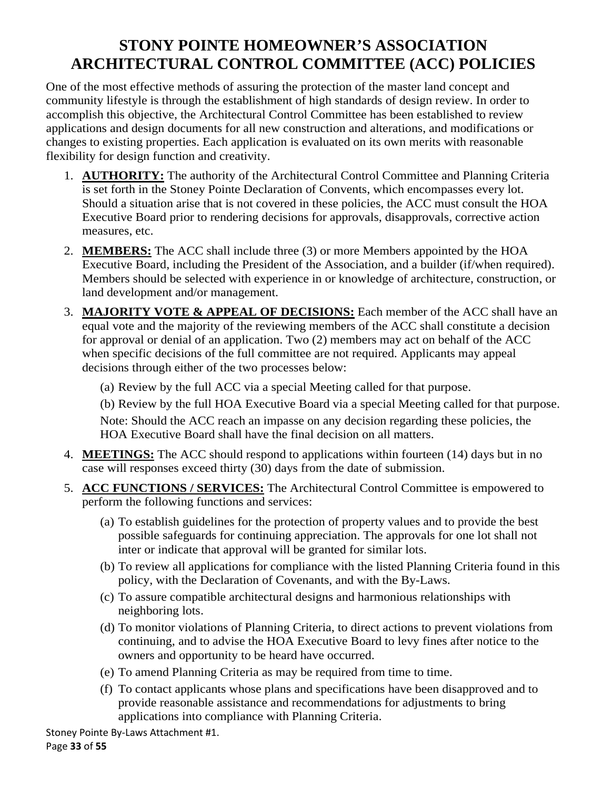One of the most effective methods of assuring the protection of the master land concept and community lifestyle is through the establishment of high standards of design review. In order to accomplish this objective, the Architectural Control Committee has been established to review applications and design documents for all new construction and alterations, and modifications or changes to existing properties. Each application is evaluated on its own merits with reasonable flexibility for design function and creativity.

- 1. **AUTHORITY:** The authority of the Architectural Control Committee and Planning Criteria is set forth in the Stoney Pointe Declaration of Convents, which encompasses every lot. Should a situation arise that is not covered in these policies, the ACC must consult the HOA Executive Board prior to rendering decisions for approvals, disapprovals, corrective action measures, etc.
- 2. **MEMBERS:** The ACC shall include three (3) or more Members appointed by the HOA Executive Board, including the President of the Association, and a builder (if/when required). Members should be selected with experience in or knowledge of architecture, construction, or land development and/or management.
- 3. **MAJORITY VOTE & APPEAL OF DECISIONS:** Each member of the ACC shall have an equal vote and the majority of the reviewing members of the ACC shall constitute a decision for approval or denial of an application. Two (2) members may act on behalf of the ACC when specific decisions of the full committee are not required. Applicants may appeal decisions through either of the two processes below:

(a) Review by the full ACC via a special Meeting called for that purpose.

(b) Review by the full HOA Executive Board via a special Meeting called for that purpose.

Note: Should the ACC reach an impasse on any decision regarding these policies, the HOA Executive Board shall have the final decision on all matters.

- 4. **MEETINGS:** The ACC should respond to applications within fourteen (14) days but in no case will responses exceed thirty (30) days from the date of submission.
- 5. **ACC FUNCTIONS / SERVICES:** The Architectural Control Committee is empowered to perform the following functions and services:
	- (a) To establish guidelines for the protection of property values and to provide the best possible safeguards for continuing appreciation. The approvals for one lot shall not inter or indicate that approval will be granted for similar lots.
	- (b) To review all applications for compliance with the listed Planning Criteria found in this policy, with the Declaration of Covenants, and with the By-Laws.
	- (c) To assure compatible architectural designs and harmonious relationships with neighboring lots.
	- (d) To monitor violations of Planning Criteria, to direct actions to prevent violations from continuing, and to advise the HOA Executive Board to levy fines after notice to the owners and opportunity to be heard have occurred.
	- (e) To amend Planning Criteria as may be required from time to time.
	- (f) To contact applicants whose plans and specifications have been disapproved and to provide reasonable assistance and recommendations for adjustments to bring applications into compliance with Planning Criteria.

Stoney Pointe By-Laws Attachment #1.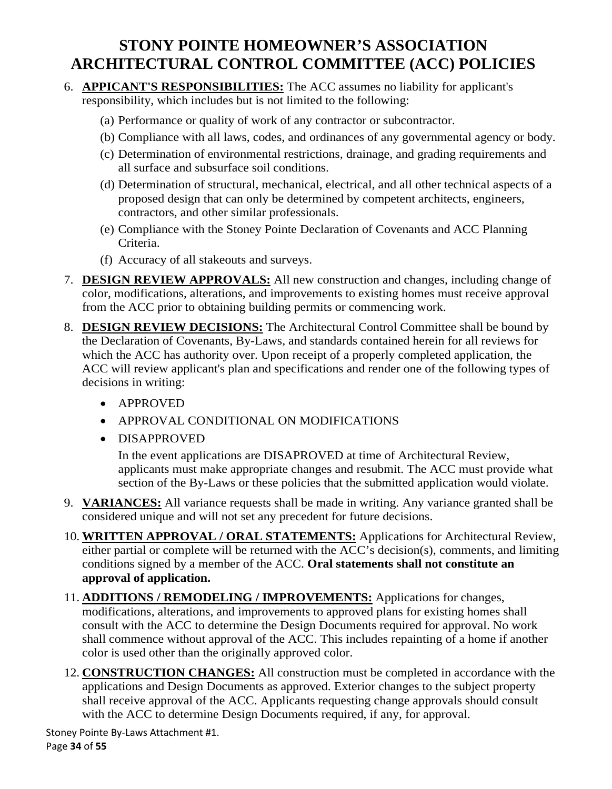- 6. **APPICANT'S RESPONSIBILITIES:** The ACC assumes no liability for applicant's responsibility, which includes but is not limited to the following:
	- (a) Performance or quality of work of any contractor or subcontractor.
	- (b) Compliance with all laws, codes, and ordinances of any governmental agency or body.
	- (c) Determination of environmental restrictions, drainage, and grading requirements and all surface and subsurface soil conditions.
	- (d) Determination of structural, mechanical, electrical, and all other technical aspects of a proposed design that can only be determined by competent architects, engineers, contractors, and other similar professionals.
	- (e) Compliance with the Stoney Pointe Declaration of Covenants and ACC Planning Criteria.
	- (f) Accuracy of all stakeouts and surveys.
- 7. **DESIGN REVIEW APPROVALS:** All new construction and changes, including change of color, modifications, alterations, and improvements to existing homes must receive approval from the ACC prior to obtaining building permits or commencing work.
- 8. **DESIGN REVIEW DECISIONS:** The Architectural Control Committee shall be bound by the Declaration of Covenants, By-Laws, and standards contained herein for all reviews for which the ACC has authority over. Upon receipt of a properly completed application, the ACC will review applicant's plan and specifications and render one of the following types of decisions in writing:
	- APPROVED
	- APPROVAL CONDITIONAL ON MODIFICATIONS
	- DISAPPROVED

In the event applications are DISAPROVED at time of Architectural Review, applicants must make appropriate changes and resubmit. The ACC must provide what section of the By-Laws or these policies that the submitted application would violate.

- 9. **VARIANCES:** All variance requests shall be made in writing. Any variance granted shall be considered unique and will not set any precedent for future decisions.
- 10. **WRITTEN APPROVAL / ORAL STATEMENTS:** Applications for Architectural Review, either partial or complete will be returned with the ACC's decision(s), comments, and limiting conditions signed by a member of the ACC. **Oral statements shall not constitute an approval of application.**
- 11. **ADDITIONS / REMODELING / IMPROVEMENTS:** Applications for changes, modifications, alterations, and improvements to approved plans for existing homes shall consult with the ACC to determine the Design Documents required for approval. No work shall commence without approval of the ACC. This includes repainting of a home if another color is used other than the originally approved color.
- 12. **CONSTRUCTION CHANGES:** All construction must be completed in accordance with the applications and Design Documents as approved. Exterior changes to the subject property shall receive approval of the ACC. Applicants requesting change approvals should consult with the ACC to determine Design Documents required, if any, for approval.

Stoney Pointe By-Laws Attachment #1. Page **34** of **55**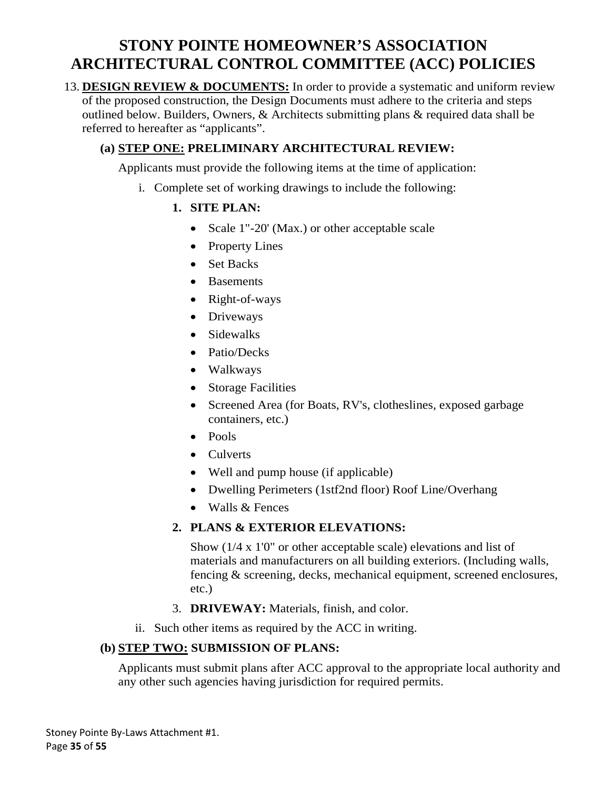13. **DESIGN REVIEW & DOCUMENTS:** In order to provide a systematic and uniform review of the proposed construction, the Design Documents must adhere to the criteria and steps outlined below. Builders, Owners, & Architects submitting plans & required data shall be referred to hereafter as "applicants".

### **(a) STEP ONE: PRELIMINARY ARCHITECTURAL REVIEW:**

Applicants must provide the following items at the time of application:

- i. Complete set of working drawings to include the following:
	- **1. SITE PLAN:**
		- Scale 1"-20' (Max.) or other acceptable scale
		- Property Lines
		- Set Backs
		- Basements
		- Right-of-ways
		- Driveways
		- Sidewalks
		- Patio/Decks
		- Walkways
		- Storage Facilities
		- Screened Area (for Boats, RV's, clotheslines, exposed garbage containers, etc.)
		- Pools
		- Culverts
		- Well and pump house (if applicable)
		- Dwelling Perimeters (1stf2nd floor) Roof Line/Overhang
		- Walls & Fences

### **2. PLANS & EXTERIOR ELEVATIONS:**

Show (1/4 x 1'0" or other acceptable scale) elevations and list of materials and manufacturers on all building exteriors. (Including walls, fencing & screening, decks, mechanical equipment, screened enclosures, etc.)

- 3. **DRIVEWAY:** Materials, finish, and color.
- ii. Such other items as required by the ACC in writing.

#### **(b) STEP TWO: SUBMISSION OF PLANS:**

Applicants must submit plans after ACC approval to the appropriate local authority and any other such agencies having jurisdiction for required permits.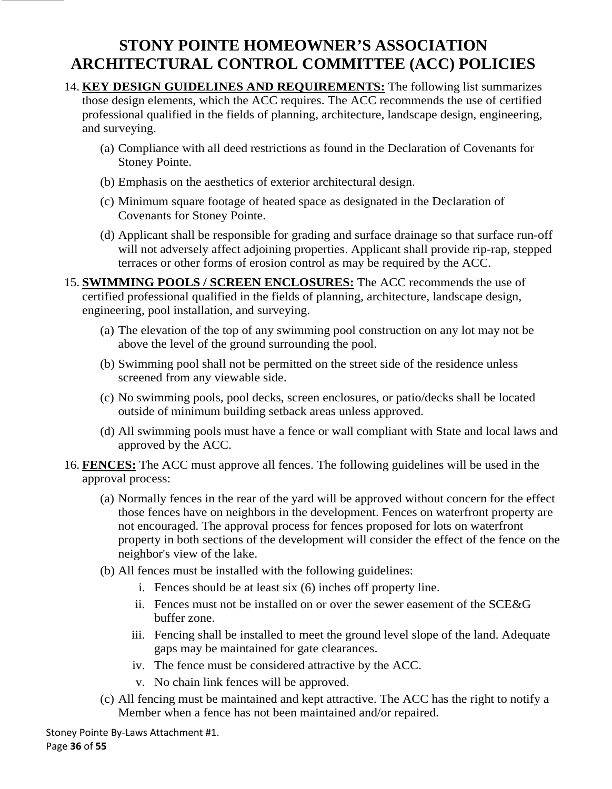- 14. **KEY DESIGN GUIDELINES AND REQUIREMENTS:** The following list summarizes those design elements, which the ACC requires. The ACC recommends the use of certified professional qualified in the fields of planning, architecture, landscape design, engineering, and surveying.
	- (a) Compliance with all deed restrictions as found in the Declaration of Covenants for Stoney Pointe.
	- (b) Emphasis on the aesthetics of exterior architectural design.
	- (c) Minimum square footage of heated space as designated in the Declaration of Covenants for Stoney Pointe.
	- (d) Applicant shall be responsible for grading and surface drainage so that surface run-off will not adversely affect adjoining properties. Applicant shall provide rip-rap, stepped terraces or other forms of erosion control as may be required by the ACC.
- 15. **SWIMMING POOLS / SCREEN ENCLOSURES:** The ACC recommends the use of certified professional qualified in the fields of planning, architecture, landscape design, engineering, pool installation, and surveying.
	- (a) The elevation of the top of any swimming pool construction on any lot may not be above the level of the ground surrounding the pool.
	- (b) Swimming pool shall not be permitted on the street side of the residence unless screened from any viewable side.
	- (c) No swimming pools, pool decks, screen enclosures, or patio/decks shall be located outside of minimum building setback areas unless approved.
	- (d) All swimming pools must have a fence or wall compliant with State and local laws and approved by the ACC.
- 16. **FENCES:** The ACC must approve all fences. The following guidelines will be used in the approval process:
	- (a) Normally fences in the rear of the yard will be approved without concern for the effect those fences have on neighbors in the development. Fences on waterfront property are not encouraged. The approval process for fences proposed for lots on waterfront property in both sections of the development will consider the effect of the fence on the neighbor's view of the lake.
	- (b) All fences must be installed with the following guidelines:
		- i. Fences should be at least six (6) inches off property line.
		- ii. Fences must not be installed on or over the sewer easement of the SCE&G buffer zone.
		- iii. Fencing shall be installed to meet the ground level slope of the land. Adequate gaps may be maintained for gate clearances.
		- iv. The fence must be considered attractive by the ACC.
		- v. No chain link fences will be approved.
	- (c) All fencing must be maintained and kept attractive. The ACC has the right to notify a Member when a fence has not been maintained and/or repaired.

Stoney Pointe By-Laws Attachment #1. Page **36** of **55**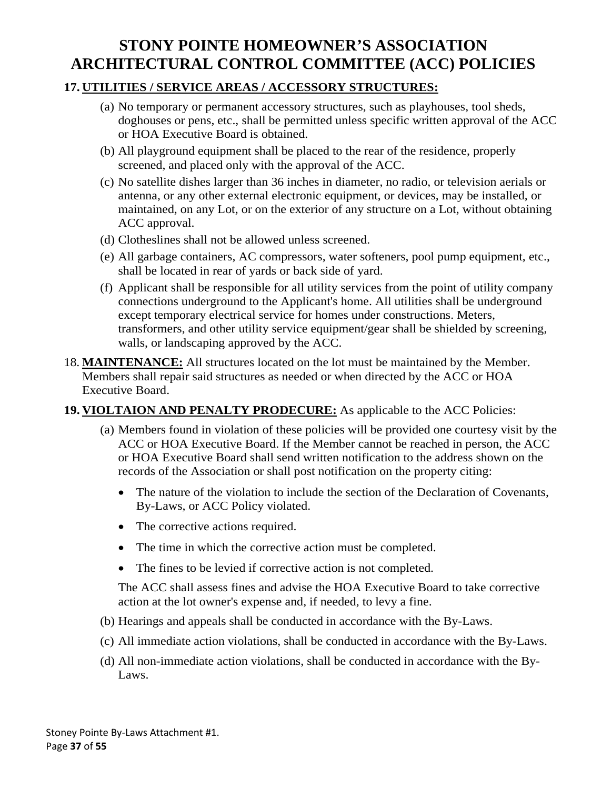### **17. UTILITIES / SERVICE AREAS / ACCESSORY STRUCTURES:**

- (a) No temporary or permanent accessory structures, such as playhouses, tool sheds, doghouses or pens, etc., shall be permitted unless specific written approval of the ACC or HOA Executive Board is obtained.
- (b) All playground equipment shall be placed to the rear of the residence, properly screened, and placed only with the approval of the ACC.
- (c) No satellite dishes larger than 36 inches in diameter, no radio, or television aerials or antenna, or any other external electronic equipment, or devices, may be installed, or maintained, on any Lot, or on the exterior of any structure on a Lot, without obtaining ACC approval.
- (d) Clotheslines shall not be allowed unless screened.
- (e) All garbage containers, AC compressors, water softeners, pool pump equipment, etc., shall be located in rear of yards or back side of yard.
- (f) Applicant shall be responsible for all utility services from the point of utility company connections underground to the Applicant's home. All utilities shall be underground except temporary electrical service for homes under constructions. Meters, transformers, and other utility service equipment/gear shall be shielded by screening, walls, or landscaping approved by the ACC.
- 18. **MAINTENANCE:** All structures located on the lot must be maintained by the Member. Members shall repair said structures as needed or when directed by the ACC or HOA Executive Board.

### **19. VIOLTAION AND PENALTY PRODECURE:** As applicable to the ACC Policies:

- (a) Members found in violation of these policies will be provided one courtesy visit by the ACC or HOA Executive Board. If the Member cannot be reached in person, the ACC or HOA Executive Board shall send written notification to the address shown on the records of the Association or shall post notification on the property citing:
	- The nature of the violation to include the section of the Declaration of Covenants, By-Laws, or ACC Policy violated.
	- The corrective actions required.
	- The time in which the corrective action must be completed.
	- The fines to be levied if corrective action is not completed.

The ACC shall assess fines and advise the HOA Executive Board to take corrective action at the lot owner's expense and, if needed, to levy a fine.

- (b) Hearings and appeals shall be conducted in accordance with the By-Laws.
- (c) All immediate action violations, shall be conducted in accordance with the By-Laws.
- (d) All non-immediate action violations, shall be conducted in accordance with the By-Laws.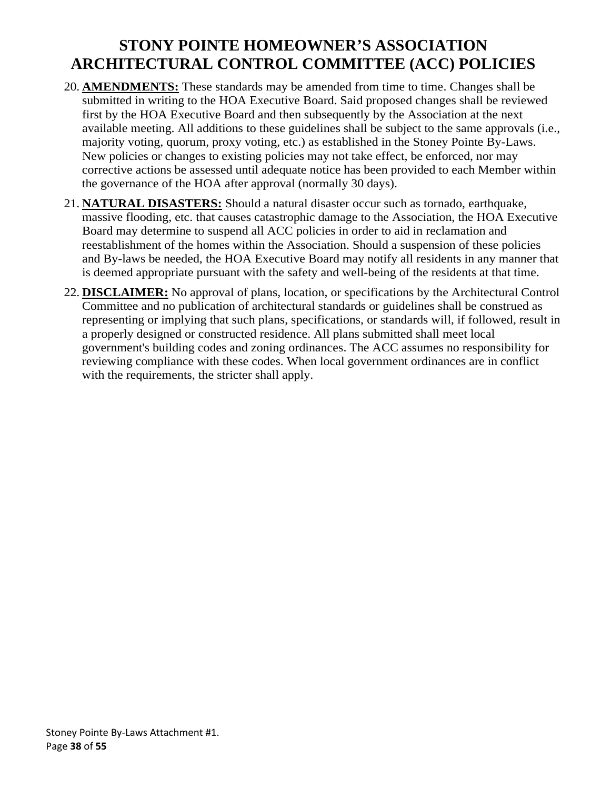- 20. **AMENDMENTS:** These standards may be amended from time to time. Changes shall be submitted in writing to the HOA Executive Board. Said proposed changes shall be reviewed first by the HOA Executive Board and then subsequently by the Association at the next available meeting. All additions to these guidelines shall be subject to the same approvals (i.e., majority voting, quorum, proxy voting, etc.) as established in the Stoney Pointe By-Laws. New policies or changes to existing policies may not take effect, be enforced, nor may corrective actions be assessed until adequate notice has been provided to each Member within the governance of the HOA after approval (normally 30 days).
- 21. **NATURAL DISASTERS:** Should a natural disaster occur such as tornado, earthquake, massive flooding, etc. that causes catastrophic damage to the Association, the HOA Executive Board may determine to suspend all ACC policies in order to aid in reclamation and reestablishment of the homes within the Association. Should a suspension of these policies and By-laws be needed, the HOA Executive Board may notify all residents in any manner that is deemed appropriate pursuant with the safety and well-being of the residents at that time.
- 22. **DISCLAIMER:** No approval of plans, location, or specifications by the Architectural Control Committee and no publication of architectural standards or guidelines shall be construed as representing or implying that such plans, specifications, or standards will, if followed, result in a properly designed or constructed residence. All plans submitted shall meet local government's building codes and zoning ordinances. The ACC assumes no responsibility for reviewing compliance with these codes. When local government ordinances are in conflict with the requirements, the stricter shall apply.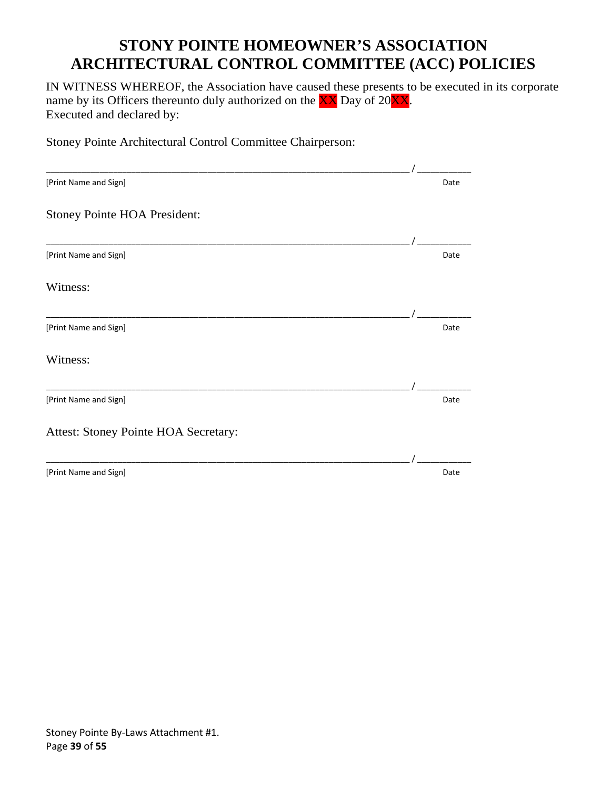IN WITNESS WHEREOF, the Association have caused these presents to be executed in its corporate name by its Officers thereunto duly authorized on the  $\overrightarrow{XX}$  Day of 20 $\overrightarrow{XX}$ . Executed and declared by:

Stoney Pointe Architectural Control Committee Chairperson:

| [Print Name and Sign]                | Date |
|--------------------------------------|------|
| Stoney Pointe HOA President:         |      |
|                                      |      |
| [Print Name and Sign]                | Date |
| Witness:                             |      |
|                                      |      |
| [Print Name and Sign]                | Date |
| Witness:                             |      |
|                                      |      |
| [Print Name and Sign]                | Date |
| Attest: Stoney Pointe HOA Secretary: |      |
|                                      |      |
| [Print Name and Sign]                | Date |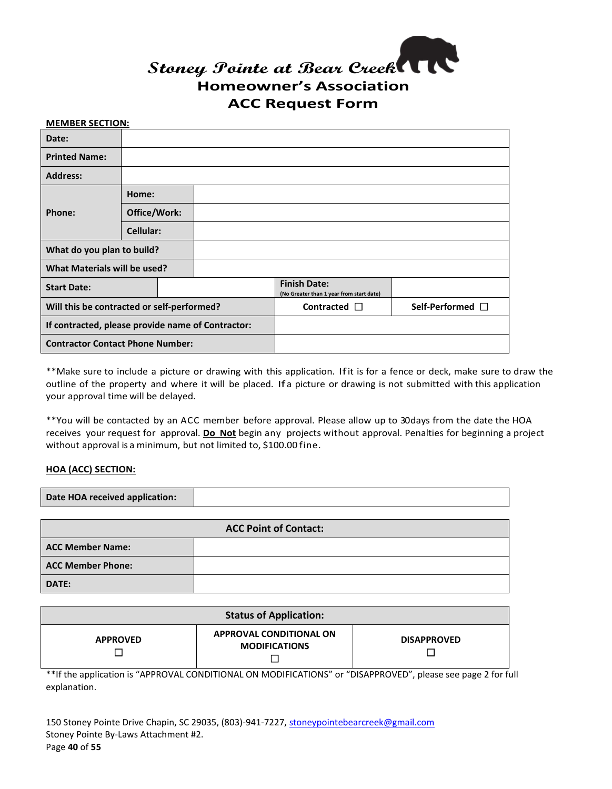

#### **MEMBER SECTION:**

| Date:                                             |              |                   |                                                                 |  |
|---------------------------------------------------|--------------|-------------------|-----------------------------------------------------------------|--|
| <b>Printed Name:</b>                              |              |                   |                                                                 |  |
| <b>Address:</b>                                   |              |                   |                                                                 |  |
|                                                   | Home:        |                   |                                                                 |  |
| Phone:                                            | Office/Work: |                   |                                                                 |  |
|                                                   | Cellular:    |                   |                                                                 |  |
| What do you plan to build?                        |              |                   |                                                                 |  |
| What Materials will be used?                      |              |                   |                                                                 |  |
| <b>Start Date:</b>                                |              |                   | <b>Finish Date:</b><br>(No Greater than 1 year from start date) |  |
| Will this be contracted or self-performed?        |              | Contracted $\Box$ | Self-Performed $\Box$                                           |  |
| If contracted, please provide name of Contractor: |              |                   |                                                                 |  |
| <b>Contractor Contact Phone Number:</b>           |              |                   |                                                                 |  |

\*\*Make sure to include a picture or drawing with this application. Ifit is for a fence or deck, make sure to draw the outline of the property and where it will be placed. Ifa picture or drawing is not submitted with this application your approval time will be delayed.

\*\*You will be contacted by an ACC member before approval. Please allow up to 30days from the date the HOA receives your request for approval. **Do Not** begin any projects without approval. Penalties for beginning a project without approval is a minimum, but not limited to, \$100.00 fine.

#### **HOA (ACC) SECTION:**

| Date HOA received application: |                              |  |
|--------------------------------|------------------------------|--|
|                                |                              |  |
|                                | <b>ACC Point of Contact:</b> |  |

| <b>ACC Point of Contact:</b> |  |  |  |
|------------------------------|--|--|--|
| <b>ACC Member Name:</b>      |  |  |  |
| <b>ACC Member Phone:</b>     |  |  |  |
| DATE:                        |  |  |  |

| <b>Status of Application:</b> |                                                 |                    |  |
|-------------------------------|-------------------------------------------------|--------------------|--|
| <b>APPROVED</b>               | APPROVAL CONDITIONAL ON<br><b>MODIFICATIONS</b> | <b>DISAPPROVED</b> |  |

\*\*If the application is "APPROVAL CONDITIONAL ON MODIFICATIONS" or "DISAPPROVED", please see page 2 for full explanation.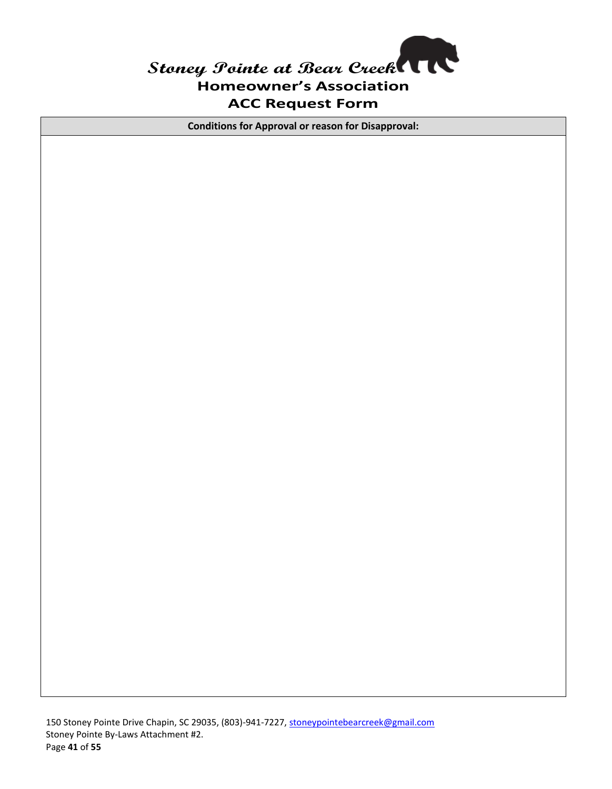

**Conditions for Approval or reason for Disapproval:**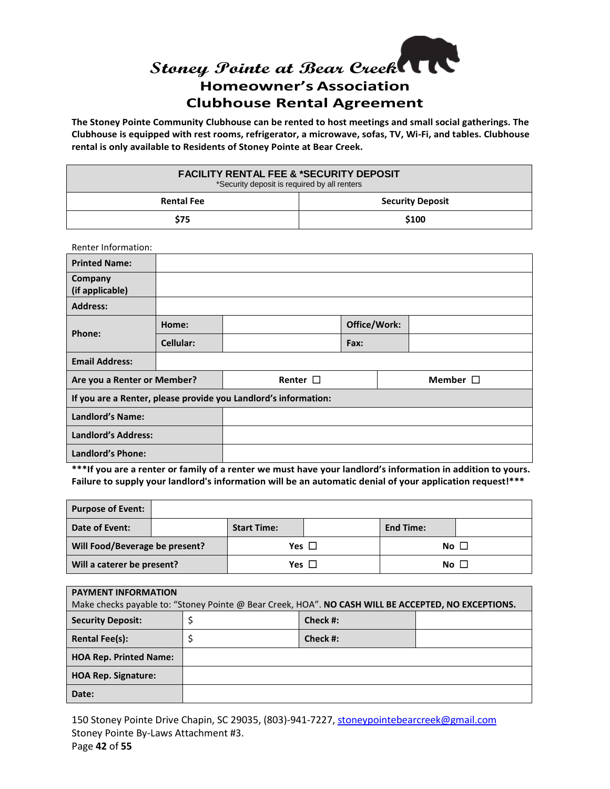# Stoney Pointe at Bear Creek<sup>(</sup> **Homeowner's Association Clubhouse Rental Agreement**

**The Stoney Pointe Community Clubhouse can be rented to host meetings and small social gatherings. The Clubhouse is equipped with rest rooms, refrigerator, a microwave, sofas, TV, Wi-Fi, and tables. Clubhouse rental is only available to Residents of Stoney Pointe at Bear Creek.**

| <b>FACILITY RENTAL FEE &amp; *SECURITY DEPOSIT</b><br>*Security deposit is required by all renters |       |  |
|----------------------------------------------------------------------------------------------------|-------|--|
| <b>Security Deposit</b><br><b>Rental Fee</b>                                                       |       |  |
| \$75                                                                                               | \$100 |  |

| <b>Renter Information:</b>                                      |           |               |              |  |               |  |
|-----------------------------------------------------------------|-----------|---------------|--------------|--|---------------|--|
| <b>Printed Name:</b>                                            |           |               |              |  |               |  |
| Company<br>(if applicable)                                      |           |               |              |  |               |  |
| <b>Address:</b>                                                 |           |               |              |  |               |  |
|                                                                 | Home:     |               | Office/Work: |  |               |  |
| Phone:                                                          | Cellular: |               | Fax:         |  |               |  |
| <b>Email Address:</b>                                           |           |               |              |  |               |  |
| Are you a Renter or Member?                                     |           | Renter $\Box$ |              |  | Member $\Box$ |  |
| If you are a Renter, please provide you Landlord's information: |           |               |              |  |               |  |
|                                                                 |           |               |              |  |               |  |
| Landlord's Name:                                                |           |               |              |  |               |  |
| <b>Landlord's Address:</b>                                      |           |               |              |  |               |  |

**\*\*\*If you are a renter or family of a renter we must have your landlord's information in addition to yours. Failure to supply your landlord's information will be an automatic denial of your application request!\*\*\***

| <b>Purpose of Event:</b>       |                    |                  |  |
|--------------------------------|--------------------|------------------|--|
| Date of Event:                 | <b>Start Time:</b> | <b>End Time:</b> |  |
| Will Food/Beverage be present? | Yes $\Box$         | $No+$            |  |
| Will a caterer be present?     | Yes $\Box$         | No <sub>1</sub>  |  |

| <b>PAYMENT INFORMATION</b>    |                                                                                                     |          |  |  |
|-------------------------------|-----------------------------------------------------------------------------------------------------|----------|--|--|
|                               | Make checks payable to: "Stoney Pointe @ Bear Creek, HOA". NO CASH WILL BE ACCEPTED, NO EXCEPTIONS. |          |  |  |
| <b>Security Deposit:</b>      |                                                                                                     | Check #: |  |  |
| <b>Rental Fee(s):</b>         |                                                                                                     | Check #: |  |  |
| <b>HOA Rep. Printed Name:</b> |                                                                                                     |          |  |  |
| <b>HOA Rep. Signature:</b>    |                                                                                                     |          |  |  |
| Date:                         |                                                                                                     |          |  |  |

150 Stoney Pointe Drive Chapin, SC 29035, (803)-941-7227, [stoneypointebearcreek@gmail.com](mailto:stoneypointebearcreek@gmail.com) Stoney Pointe By-Laws Attachment #3. Page **42** of **55**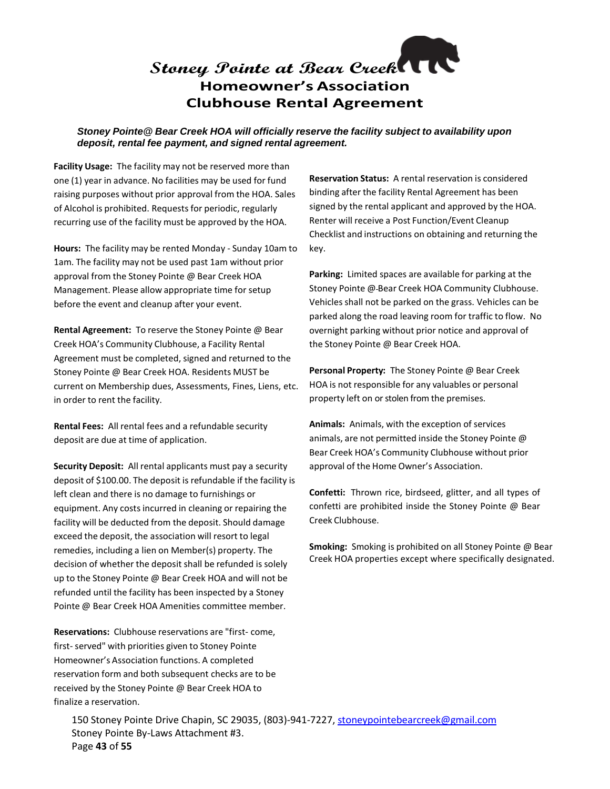# **Stoney Pointe at Bear Creek Homeowner's Association Clubhouse Rental Agreement**

#### *Stoney Pointe@ Bear Creek HOA will officially reserve the facility subject to availability upon deposit, rental fee payment, and signed rental agreement.*

**Facility Usage:** The facility may not be reserved more than one (1) year in advance. No facilities may be used for fund raising purposes without prior approval from the HOA. Sales of Alcohol is prohibited. Requests for periodic, regularly recurring use of the facility must be approved by the HOA.

**Hours:** The facility may be rented Monday - Sunday 10am to 1am. The facility may not be used past 1am without prior approval from the Stoney Pointe @ Bear Creek HOA Management. Please allow appropriate time for setup before the event and cleanup after your event.

**Rental Agreement:** To reserve the Stoney Pointe @ Bear Creek HOA's Community Clubhouse, a Facility Rental Agreement must be completed, signed and returned to the Stoney Pointe @ Bear Creek HOA. Residents MUST be current on Membership dues, Assessments, Fines, Liens, etc. in order to rent the facility.

**Rental Fees:** All rental fees and a refundable security deposit are due at time of application.

**Security Deposit:** All rental applicants must pay a security deposit of \$100.00. The deposit is refundable if the facility is left clean and there is no damage to furnishings or equipment. Any costs incurred in cleaning or repairing the facility will be deducted from the deposit. Should damage exceed the deposit, the association will resort to legal remedies, including a lien on Member(s) property. The decision of whether the deposit shall be refunded is solely up to the Stoney Pointe @ Bear Creek HOA and will not be refunded until the facility has been inspected by a Stoney Pointe @ Bear Creek HOA Amenities committee member.

**Reservations:** Clubhouse reservations are "first- come, first- served" with priorities given to Stoney Pointe Homeowner's Association functions. A completed reservation form and both subsequent checks are to be received by the Stoney Pointe @ Bear Creek HOA to finalize a reservation.

**Reservation Status:** A rental reservation is considered binding after the facility Rental Agreement has been signed by the rental applicant and approved by the HOA. Renter will receive a Post Function/Event Cleanup Checklist and instructions on obtaining and returning the key.

**Parking:** Limited spaces are available for parking at the Stoney Pointe @ Bear Creek HOA Community Clubhouse. Vehicles shall not be parked on the grass. Vehicles can be parked along the road leaving room for traffic to flow. No overnight parking without prior notice and approval of the Stoney Pointe @ Bear Creek HOA.

**Personal Property:** The Stoney Pointe @ Bear Creek HOA is not responsible for any valuables or personal property left on or stolen from the premises.

**Animals:** Animals, with the exception of services animals, are not permitted inside the Stoney Pointe @ Bear Creek HOA's Community Clubhouse without prior approval of the Home Owner's Association.

**Confetti:** Thrown rice, birdseed, glitter, and all types of confetti are prohibited inside the Stoney Pointe @ Bear Creek Clubhouse.

**Smoking:** Smoking is prohibited on all Stoney Pointe @ Bear Creek HOA properties except where specifically designated.

150 Stoney Pointe Drive Chapin, SC 29035, (803)-941-7227, [stoneypointebearcreek@gmail.com](mailto:stoneypointebearcreek@gmail.com) Stoney Pointe By-Laws Attachment #3. Page **43** of **55**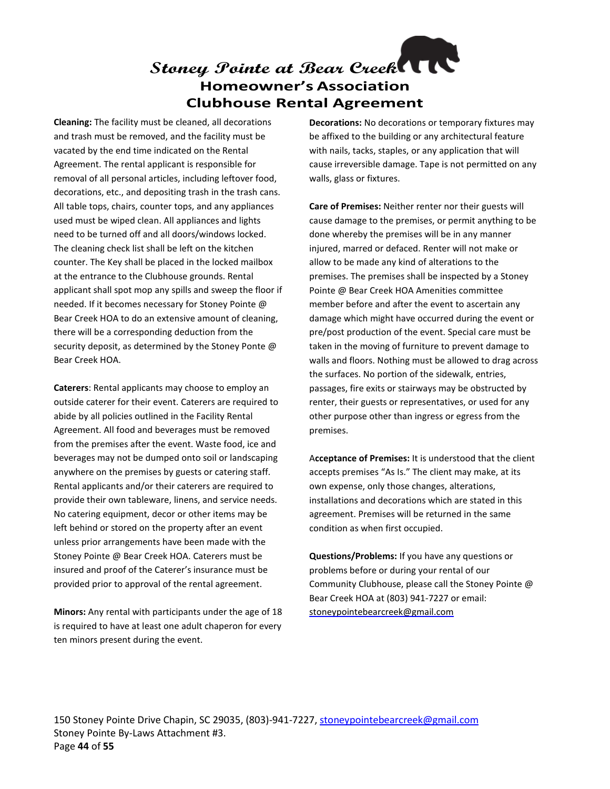# **Stoney Pointe at Bear Creek Homeowner's Association Clubhouse Rental Agreement**

**Cleaning:** The facility must be cleaned, all decorations and trash must be removed, and the facility must be vacated by the end time indicated on the Rental Agreement. The rental applicant is responsible for removal of all personal articles, including leftover food, decorations, etc., and depositing trash in the trash cans. All table tops, chairs, counter tops, and any appliances used must be wiped clean. All appliances and lights need to be turned off and all doors/windows locked. The cleaning check list shall be left on the kitchen counter. The Key shall be placed in the locked mailbox at the entrance to the Clubhouse grounds. Rental applicant shall spot mop any spills and sweep the floor if needed. If it becomes necessary for Stoney Pointe @ Bear Creek HOA to do an extensive amount of cleaning, there will be a corresponding deduction from the security deposit, as determined by the Stoney Ponte @ Bear Creek HOA.

**Caterers**: Rental applicants may choose to employ an outside caterer for their event. Caterers are required to abide by all policies outlined in the Facility Rental Agreement. All food and beverages must be removed from the premises after the event. Waste food, ice and beverages may not be dumped onto soil or landscaping anywhere on the premises by guests or catering staff. Rental applicants and/or their caterers are required to provide their own tableware, linens, and service needs. No catering equipment, decor or other items may be left behind or stored on the property after an event unless prior arrangements have been made with the Stoney Pointe @ Bear Creek HOA. Caterers must be insured and proof of the Caterer's insurance must be provided prior to approval of the rental agreement.

**Minors:** Any rental with participants under the age of 18 is required to have at least one adult chaperon for every ten minors present during the event.

**Decorations:** No decorations or temporary fixtures may be affixed to the building or any architectural feature with nails, tacks, staples, or any application that will cause irreversible damage. Tape is not permitted on any walls, glass or fixtures.

**Care of Premises:** Neither renter nor their guests will cause damage to the premises, or permit anything to be done whereby the premises will be in any manner injured, marred or defaced. Renter will not make or allow to be made any kind of alterations to the premises. The premises shall be inspected by a Stoney Pointe @ Bear Creek HOA Amenities committee member before and after the event to ascertain any damage which might have occurred during the event or pre/post production of the event. Special care must be taken in the moving of furniture to prevent damage to walls and floors. Nothing must be allowed to drag across the surfaces. No portion of the sidewalk, entries, passages, fire exits or stairways may be obstructed by renter, their guests or representatives, or used for any other purpose other than ingress or egress from the premises.

A**cceptance of Premises:** It is understood that the client accepts premises "As Is." The client may make, at its own expense, only those changes, alterations, installations and decorations which are stated in this agreement. Premises will be returned in the same condition as when first occupied.

**Questions/Problems:** If you have any questions or problems before or during your rental of our Community Clubhouse, please call the Stoney Pointe @ Bear Creek HOA at (803) 941-7227 or email: [stoneypointebearcreek@gmail.com](mailto:stoneypointebearcreek@gmail.com)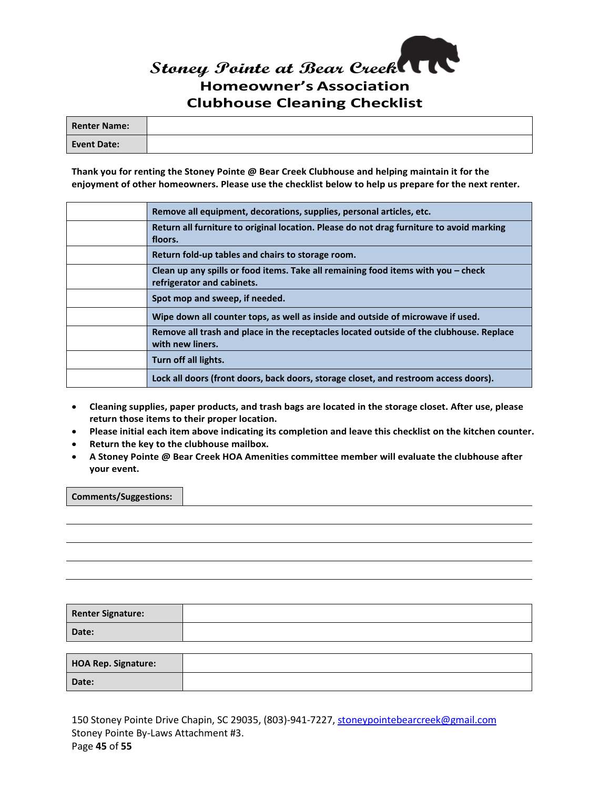# **Stoney Pointe at Bear Creek Homeowner's Association Clubhouse Cleaning Checklist**

| <b>Renter Name:</b> |  |
|---------------------|--|
| Event Date:         |  |

**Thank you for renting the Stoney Pointe @ Bear Creek Clubhouse and helping maintain it for the enjoyment of other homeowners. Please use the checklist below to help us prepare for the next renter.**

| Remove all equipment, decorations, supplies, personal articles, etc.                                            |
|-----------------------------------------------------------------------------------------------------------------|
| Return all furniture to original location. Please do not drag furniture to avoid marking<br>floors.             |
| Return fold-up tables and chairs to storage room.                                                               |
| Clean up any spills or food items. Take all remaining food items with you – check<br>refrigerator and cabinets. |
| Spot mop and sweep, if needed.                                                                                  |
| Wipe down all counter tops, as well as inside and outside of microwave if used.                                 |
| Remove all trash and place in the receptacles located outside of the clubhouse. Replace<br>with new liners.     |
| Turn off all lights.                                                                                            |
| Lock all doors (front doors, back doors, storage closet, and restroom access doors).                            |

- **Cleaning supplies, paper products, and trash bags are located in the storage closet. After use, please return those items to their proper location.**
- **Please initial each item above indicating its completion and leave this checklist on the kitchen counter.**
- **Return the key to the clubhouse mailbox.**
- **A Stoney Pointe @ Bear Creek HOA Amenities committee member will evaluate the clubhouse after your event.**

**Comments/Suggestions:**

**Renter Signature: Date: HOA Rep. Signature: Date:**

150 Stoney Pointe Drive Chapin, SC 29035, (803)-941-7227, [stoneypointebearcreek@gmail.com](mailto:stoneypointebearcreek@gmail.com) Stoney Pointe By-Laws Attachment #3. Page **45** of **55**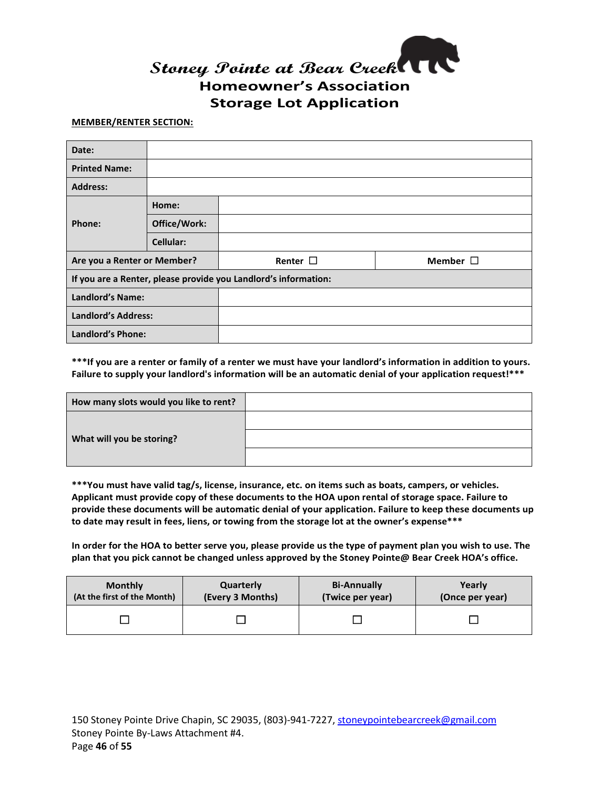

#### **MEMBER/RENTER SECTION:**

| Date:                       |                                                                 |               |               |  |
|-----------------------------|-----------------------------------------------------------------|---------------|---------------|--|
| <b>Printed Name:</b>        |                                                                 |               |               |  |
| <b>Address:</b>             |                                                                 |               |               |  |
|                             | Home:                                                           |               |               |  |
| Phone:                      | Office/Work:                                                    |               |               |  |
|                             | Cellular:                                                       |               |               |  |
| Are you a Renter or Member? |                                                                 | Renter $\Box$ | Member $\Box$ |  |
|                             | If you are a Renter, please provide you Landlord's information: |               |               |  |
| <b>Landlord's Name:</b>     |                                                                 |               |               |  |
| <b>Landlord's Address:</b>  |                                                                 |               |               |  |
| <b>Landlord's Phone:</b>    |                                                                 |               |               |  |

**\*\*\*If you are a renter or family of a renter we must have your landlord's information in addition to yours. Failure to supply your landlord's information will be an automatic denial of your application request!\*\*\***

| How many slots would you like to rent? |  |
|----------------------------------------|--|
|                                        |  |
| What will you be storing?              |  |
|                                        |  |

**\*\*\*You must have valid tag/s, license, insurance, etc. on items such as boats, campers, or vehicles. Applicant must provide copy of these documents to the HOA upon rental of storage space. Failure to provide these documents will be automatic denial of your application. Failure to keep these documents up to date may result in fees, liens, or towing from the storage lot at the owner's expense\*\*\***

**In order for the HOA to better serve you, please provide us the type of payment plan you wish to use. The plan that you pick cannot be changed unless approved by the Stoney Pointe@ Bear Creek HOA's office.**

| <b>Monthly</b>              | Quarterly        | <b>Bi-Annually</b> | Yearly          |
|-----------------------------|------------------|--------------------|-----------------|
| (At the first of the Month) | (Every 3 Months) | (Twice per year)   | (Once per year) |
|                             |                  |                    |                 |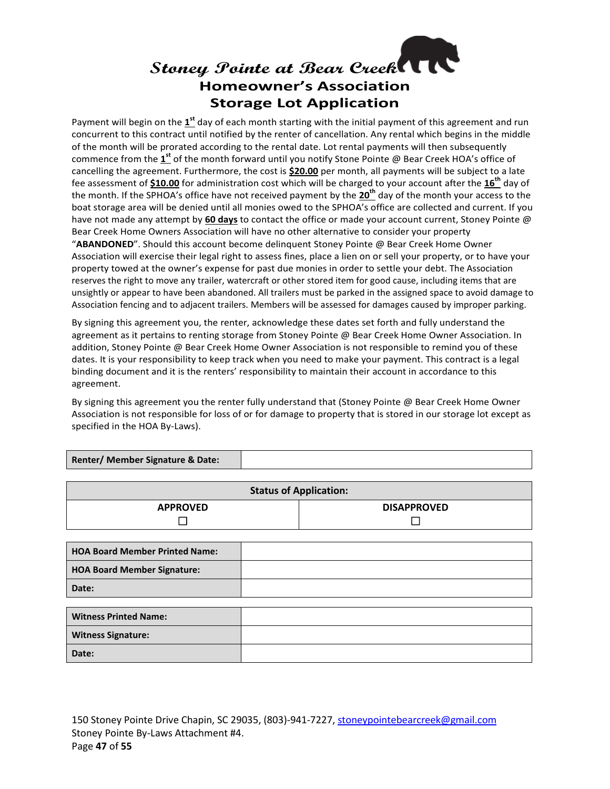# **Stoney Pointe at Bear Creek Homeowner's Association Storage Lot Application**

Payment will begin on the **1st** day of each month starting with the initial payment of this agreement and run concurrent to this contract until notified by the renter of cancellation. Any rental which begins in the middle of the month will be prorated according to the rental date. Lot rental payments will then subsequently commence from the **1st** of the month forward until you notify Stone Pointe @ Bear Creek HOA's office of cancelling the agreement. Furthermore, the cost is **\$20.00** per month, all payments will be subject to a late fee assessment of **\$10.00** for administration cost which will be charged to your account after the **16th** day of the month. If the SPHOA's office have not received payment by the **20th** day of the month your access to the boat storage area will be denied until all monies owed to the SPHOA's office are collected and current. If you have not made any attempt by **60 days** to contact the office or made your account current, Stoney Pointe @ Bear Creek Home Owners Association will have no other alternative to consider your property "**ABANDONED**". Should this account become delinquent Stoney Pointe @ Bear Creek Home Owner Association will exercise their legal right to assess fines, place a lien on or sell your property, or to have your property towed at the owner's expense for past due monies in order to settle your debt. The Association reserves the right to move any trailer, watercraft or other stored item for good cause, including items that are unsightly or appear to have been abandoned. All trailers must be parked in the assigned space to avoid damage to Association fencing and to adjacent trailers. Members will be assessed for damages caused by improper parking.

By signing this agreement you, the renter, acknowledge these dates set forth and fully understand the agreement as it pertains to renting storage from Stoney Pointe @ Bear Creek Home Owner Association. In addition, Stoney Pointe @ Bear Creek Home Owner Association is not responsible to remind you of these dates. It is your responsibility to keep track when you need to make your payment. This contract is a legal binding document and it is the renters' responsibility to maintain their account in accordance to this agreement.

By signing this agreement you the renter fully understand that (Stoney Pointe @ Bear Creek Home Owner Association is not responsible for loss of or for damage to property that is stored in our storage lot except as specified in the HOA By-Laws).

| Renter/ Member Signature & Date: |  |
|----------------------------------|--|
|----------------------------------|--|

| <b>Status of Application:</b>         |                    |  |
|---------------------------------------|--------------------|--|
| <b>APPROVED</b>                       | <b>DISAPPROVED</b> |  |
|                                       |                    |  |
|                                       |                    |  |
| <b>HOA Board Member Printed Name:</b> |                    |  |
| <b>HOA Board Member Signature:</b>    |                    |  |
| Date:                                 |                    |  |
|                                       |                    |  |
| <b>Witness Printed Name:</b>          |                    |  |
| <b>Witness Signature:</b>             |                    |  |
| Date:                                 |                    |  |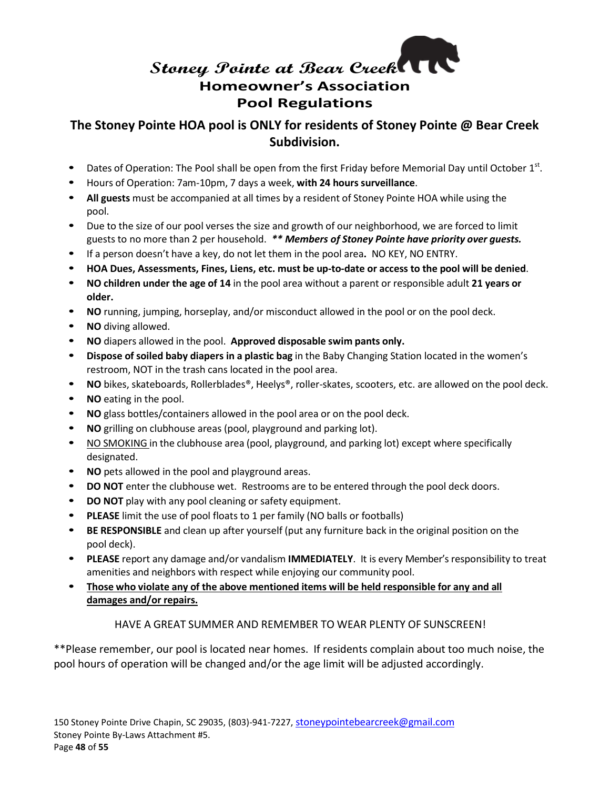# **Stoney Pointe at Bear Creek Homeowner's Association Pool Regulations**

### **The Stoney Pointe HOA pool is ONLY for residents of Stoney Pointe @ Bear Creek Subdivision.**

- Dates of Operation: The Pool shall be open from the first Friday before Memorial Day until October  $1<sup>st</sup>$ .
- **Hours of Operation: 7am-10pm, 7 days a week, with 24 hours surveillance.**
- **All guests** must be accompanied at all times by a resident of Stoney Pointe HOA while using the pool.
- Due to the size of our pool verses the size and growth of our neighborhood, we are forced to limit guests to no more than 2 per household. *\*\* Members of Stoney Pointe have priority over guests.*
- If a person doesn't have a key, do not let them in the pool area**.** NO KEY, NO ENTRY.
- **HOA Dues, Assessments, Fines, Liens, etc. must be up-to-date or access to the pool will be denied**.
- **NO children under the age of 14** in the pool area without a parent or responsible adult **21 years or older.**
- **NO** running, jumping, horseplay, and/or misconduct allowed in the pool or on the pool deck.
- **NO** diving allowed.
- **NO** diapers allowed in the pool. **Approved disposable swim pants only.**
- **Dispose of soiled baby diapers in a plastic bag** in the Baby Changing Station located in the women's restroom, NOT in the trash cans located in the pool area.
- **NO** bikes, skateboards, Rollerblades®, Heelys®, roller-skates, scooters, etc. are allowed on the pool deck.
- **NO** eating in the pool.
- **NO** glass bottles/containers allowed in the pool area or on the pool deck.
- **NO** grilling on clubhouse areas (pool, playground and parking lot).
- NO SMOKING in the clubhouse area (pool, playground, and parking lot) except where specifically designated.
- **NO** pets allowed in the pool and playground areas.
- **DO NOT** enter the clubhouse wet. Restrooms are to be entered through the pool deck doors.
- **DO NOT** play with any pool cleaning or safety equipment.
- **PLEASE** limit the use of pool floats to 1 per family (NO balls or footballs)
- **BE RESPONSIBLE** and clean up after yourself (put any furniture back in the original position on the pool deck).
- **PLEASE** report any damage and/or vandalism **IMMEDIATELY**. It is every Member's responsibility to treat amenities and neighbors with respect while enjoying our community pool.
- **Those who violate any of the above mentioned items will be held responsible for any and all damages and/or repairs.**

#### HAVE A GREAT SUMMER AND REMEMBER TO WEAR PLENTY OF SUNSCREEN!

\*\*Please remember, our pool is located near homes. If residents complain about too much noise, the pool hours of operation will be changed and/or the age limit will be adjusted accordingly.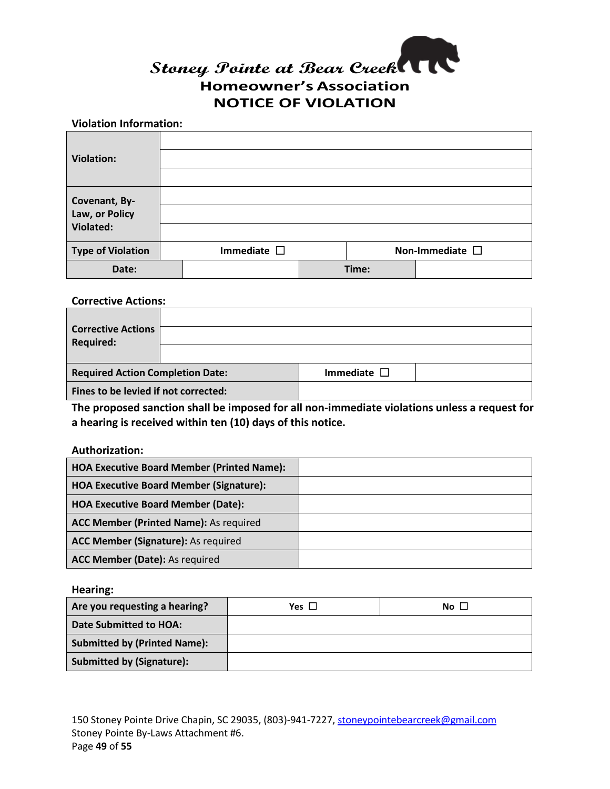

#### **Violation Information:**

| <b>Violation:</b>                            |                     |       |                         |
|----------------------------------------------|---------------------|-------|-------------------------|
| Covenant, By-<br>Law, or Policy<br>Violated: |                     |       |                         |
|                                              |                     |       |                         |
| <b>Type of Violation</b>                     | Immediate $\square$ |       | Non-Immediate $\square$ |
| Date:                                        |                     | Time: |                         |

#### **Corrective Actions:**

| <b>Corrective Actions</b><br><b>Required:</b> |                     |  |
|-----------------------------------------------|---------------------|--|
| <b>Required Action Completion Date:</b>       | Immediate $\square$ |  |
| Fines to be levied if not corrected:          |                     |  |

**The proposed sanction shall be imposed for all non-immediate violations unless a request for a hearing is received within ten (10) days of this notice.**

#### **Authorization:**

| <b>HOA Executive Board Member (Printed Name):</b> |  |
|---------------------------------------------------|--|
| <b>HOA Executive Board Member (Signature):</b>    |  |
| <b>HOA Executive Board Member (Date):</b>         |  |
| <b>ACC Member (Printed Name): As required</b>     |  |
| ACC Member (Signature): As required               |  |
| ACC Member (Date): As required                    |  |

**Hearing:**

| Are you requesting a hearing?       | Yes $\square$ | No $\mathsf{\mathsf{L}}$ |
|-------------------------------------|---------------|--------------------------|
| Date Submitted to HOA:              |               |                          |
| <b>Submitted by (Printed Name):</b> |               |                          |
| Submitted by (Signature):           |               |                          |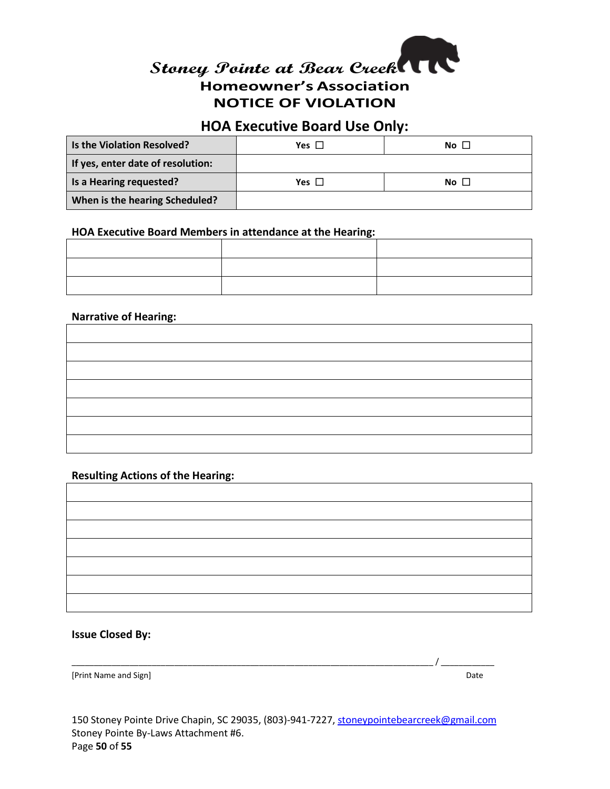

### **HOA Executive Board Use Only:**

| Is the Violation Resolved?        | Yes [                     | $No$ $\Box$ |
|-----------------------------------|---------------------------|-------------|
| If yes, enter date of resolution: |                           |             |
| Is a Hearing requested?           | Yes $\mathsf{\mathsf{L}}$ | $No \Box$   |
| When is the hearing Scheduled?    |                           |             |

#### **HOA Executive Board Members in attendance at the Hearing:**

#### **Narrative of Hearing:**

#### **Resulting Actions of the Hearing:**

#### **Issue Closed By:**

[Print Name and Sign] Date and Sign] Date and Sign and Sign and Date and Sign and Date and Sign and Date and Sign and Date and Date and Date and Date and Date and Date and Date and Date and Date and Date and Date and Date

150 Stoney Pointe Drive Chapin, SC 29035, (803)-941-7227, [stoneypointebearcreek@gmail.com](mailto:stoneypointebearcreek@gmail.com) Stoney Pointe By-Laws Attachment #6. Page **50** of **55**

\_\_\_\_\_\_\_\_\_\_\_\_\_\_\_\_\_\_\_\_\_\_\_\_\_\_\_\_\_\_\_\_\_\_\_\_\_\_\_\_\_\_\_\_\_\_\_\_\_\_\_\_\_\_\_\_\_\_\_\_\_\_\_\_\_\_\_\_\_\_\_\_\_\_\_\_\_\_\_\_\_ / \_\_\_\_\_\_\_\_\_\_\_\_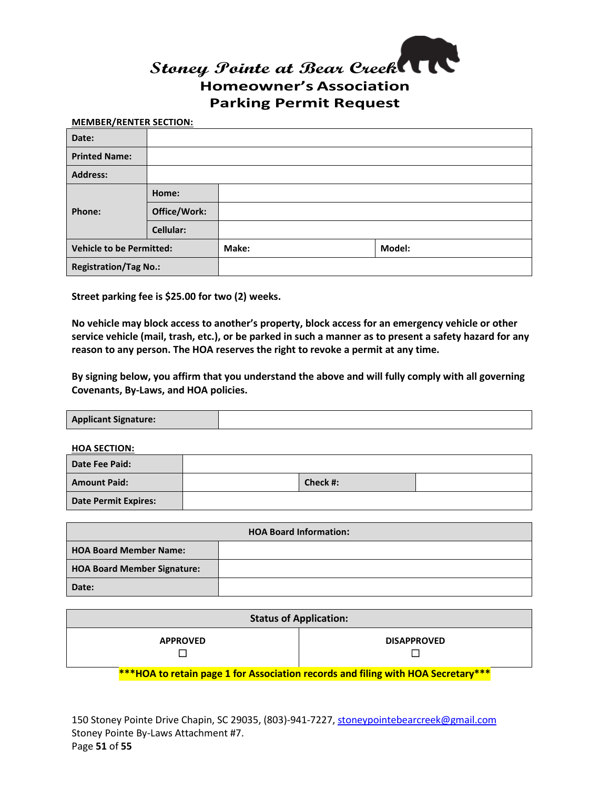

#### **MEMBER/RENTER SECTION:**

| Date:                           |                  |       |        |
|---------------------------------|------------------|-------|--------|
| <b>Printed Name:</b>            |                  |       |        |
| <b>Address:</b>                 |                  |       |        |
| Phone:                          | Home:            |       |        |
|                                 | Office/Work:     |       |        |
|                                 | <b>Cellular:</b> |       |        |
| <b>Vehicle to be Permitted:</b> |                  | Make: | Model: |
| <b>Registration/Tag No.:</b>    |                  |       |        |

**Street parking fee is \$25.00 for two (2) weeks.**

**No vehicle may block access to another's property, block access for an emergency vehicle or other service vehicle (mail, trash, etc.), or be parked in such a manner as to present a safety hazard for any reason to any person. The HOA reserves the right to revoke a permit at any time.**

**By signing below, you affirm that you understand the above and will fully comply with all governing Covenants, By-Laws, and HOA policies.**

**Applicant Signature:**

**HOA SECTION:**

| Date Fee Paid:              |          |  |
|-----------------------------|----------|--|
| <b>Amount Paid:</b>         | Check #: |  |
| <b>Date Permit Expires:</b> |          |  |

| <b>HOA Board Information:</b>      |  |
|------------------------------------|--|
| <b>HOA Board Member Name:</b>      |  |
| <b>HOA Board Member Signature:</b> |  |
| Date:                              |  |

|                 | <b>Status of Application:</b>                                                    |
|-----------------|----------------------------------------------------------------------------------|
| <b>APPROVED</b> | <b>DISAPPROVED</b>                                                               |
|                 | ***HOA to retain page 1 for Association records and filing with HOA Secretary*** |

150 Stoney Pointe Drive Chapin, SC 29035, (803)-941-7227, [stoneypointebearcreek@gmail.com](mailto:stoneypointebearcreek@gmail.com) Stoney Pointe By-Laws Attachment #7. Page **51** of **55**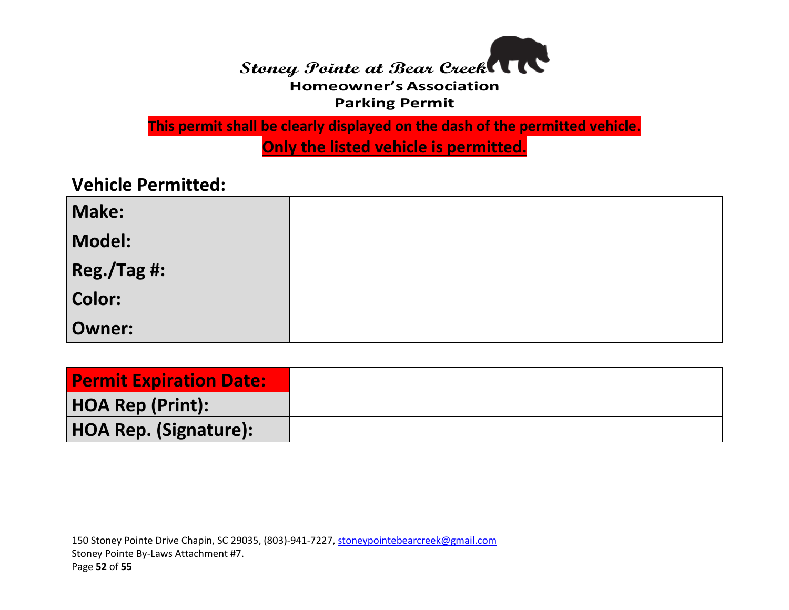

**This permit shall be clearly displayed on the dash of the permitted vehicle. Only the listed vehicle is permitted.**

**Vehicle Permitted:**

| Make:          |  |
|----------------|--|
| Model:         |  |
| $ Reg./Tag$ #: |  |
| Color:         |  |
| <b>Owner:</b>  |  |

| <b>Permit Expiration Date:</b> |  |
|--------------------------------|--|
| HOA Rep (Print):               |  |
| HOA Rep. (Signature):          |  |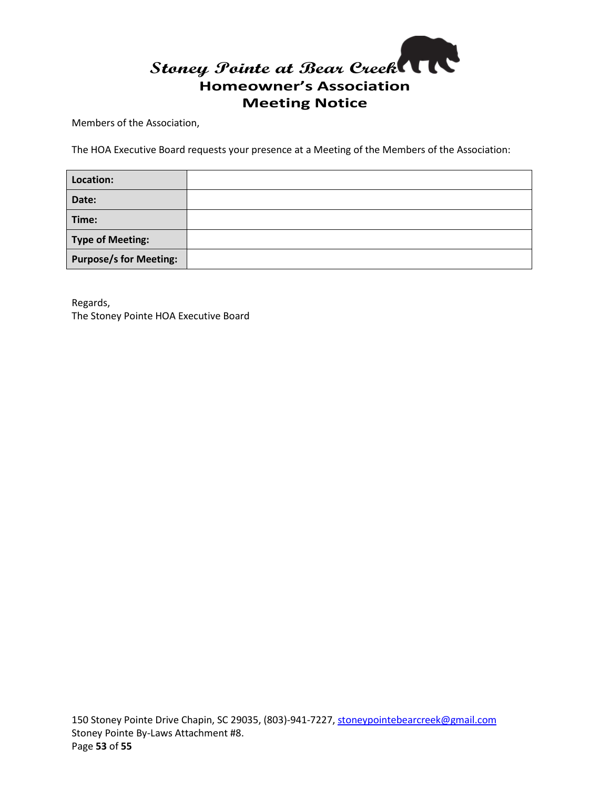

Members of the Association,

The HOA Executive Board requests your presence at a Meeting of the Members of the Association:

| Location:                     |  |
|-------------------------------|--|
| Date:                         |  |
| Time:                         |  |
| Type of Meeting:              |  |
| <b>Purpose/s for Meeting:</b> |  |

Regards, The Stoney Pointe HOA Executive Board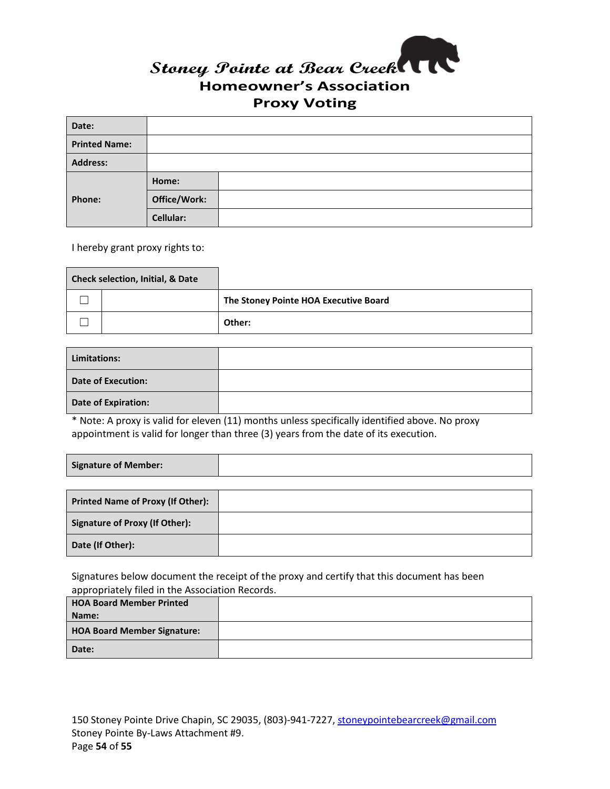

| Date:                |                  |  |
|----------------------|------------------|--|
| <b>Printed Name:</b> |                  |  |
| <b>Address:</b>      |                  |  |
| Phone:               | Home:            |  |
|                      | Office/Work:     |  |
|                      | <b>Cellular:</b> |  |

I hereby grant proxy rights to:

| <b>Check selection, Initial, &amp; Date</b> |  |                                       |
|---------------------------------------------|--|---------------------------------------|
|                                             |  | The Stoney Pointe HOA Executive Board |
|                                             |  | Other:                                |

| Limitations:               |  |
|----------------------------|--|
| <b>Date of Execution:</b>  |  |
| <b>Date of Expiration:</b> |  |

\* Note: A proxy is valid for eleven (11) months unless specifically identified above. No proxy appointment is valid for longer than three (3) years from the date of its execution.

| Signature of Member:                     |  |
|------------------------------------------|--|
|                                          |  |
| <b>Printed Name of Proxy (If Other):</b> |  |
|                                          |  |

| Signature of Proxy (If Other): |  |
|--------------------------------|--|
| Date (If Other):               |  |

Signatures below document the receipt of the proxy and certify that this document has been appropriately filed in the Association Records.

| <b>HOA Board Member Printed</b>    |  |
|------------------------------------|--|
| Name:                              |  |
| <b>HOA Board Member Signature:</b> |  |
| Date:                              |  |